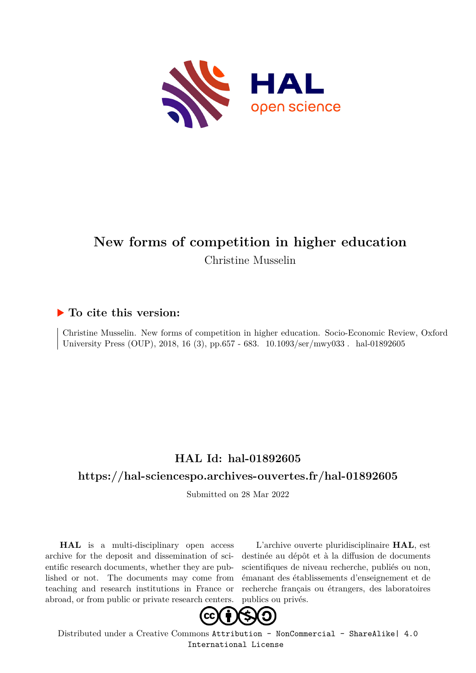

# **New forms of competition in higher education**

Christine Musselin

# **To cite this version:**

Christine Musselin. New forms of competition in higher education. Socio-Economic Review, Oxford University Press (OUP), 2018, 16 (3), pp.657 - 683. 10.1093/ser/mwy033. hal-01892605

# **HAL Id: hal-01892605**

# **<https://hal-sciencespo.archives-ouvertes.fr/hal-01892605>**

Submitted on 28 Mar 2022

**HAL** is a multi-disciplinary open access archive for the deposit and dissemination of scientific research documents, whether they are published or not. The documents may come from teaching and research institutions in France or abroad, or from public or private research centers.

L'archive ouverte pluridisciplinaire **HAL**, est destinée au dépôt et à la diffusion de documents scientifiques de niveau recherche, publiés ou non, émanant des établissements d'enseignement et de recherche français ou étrangers, des laboratoires publics ou privés.



Distributed under a Creative Commons [Attribution - NonCommercial - ShareAlike| 4.0](http://creativecommons.org/licenses/by-nc-sa/4.0/) [International License](http://creativecommons.org/licenses/by-nc-sa/4.0/)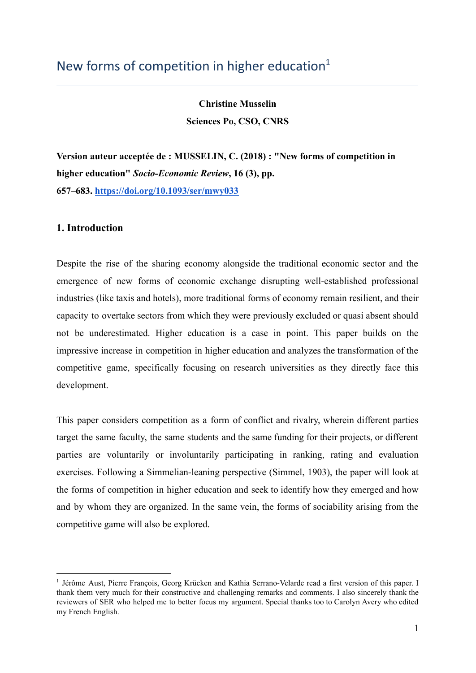# New forms of competition in higher education $1$

**Christine Musselin Sciences Po, CSO, CNRS**

**Version auteur acceptée de : MUSSELIN, C. (2018) : "New forms of competition in higher education"** *Socio-Economic Review***, 16 (3), pp. 657–683. <https://doi.org/10.1093/ser/mwy033>**

## **1. Introduction**

Despite the rise of the sharing economy alongside the traditional economic sector and the emergence of new forms of economic exchange disrupting well-established professional industries (like taxis and hotels), more traditional forms of economy remain resilient, and their capacity to overtake sectors from which they were previously excluded or quasi absent should not be underestimated. Higher education is a case in point. This paper builds on the impressive increase in competition in higher education and analyzes the transformation of the competitive game, specifically focusing on research universities as they directly face this development.

This paper considers competition as a form of conflict and rivalry, wherein different parties target the same faculty, the same students and the same funding for their projects, or different parties are voluntarily or involuntarily participating in ranking, rating and evaluation exercises. Following a Simmelian-leaning perspective (Simmel, 1903), the paper will look at the forms of competition in higher education and seek to identify how they emerged and how and by whom they are organized. In the same vein, the forms of sociability arising from the competitive game will also be explored.

<sup>&</sup>lt;sup>1</sup> Jérôme Aust, Pierre François, Georg Krücken and Kathia Serrano-Velarde read a first version of this paper. I thank them very much for their constructive and challenging remarks and comments. I also sincerely thank the reviewers of SER who helped me to better focus my argument. Special thanks too to Carolyn Avery who edited my French English.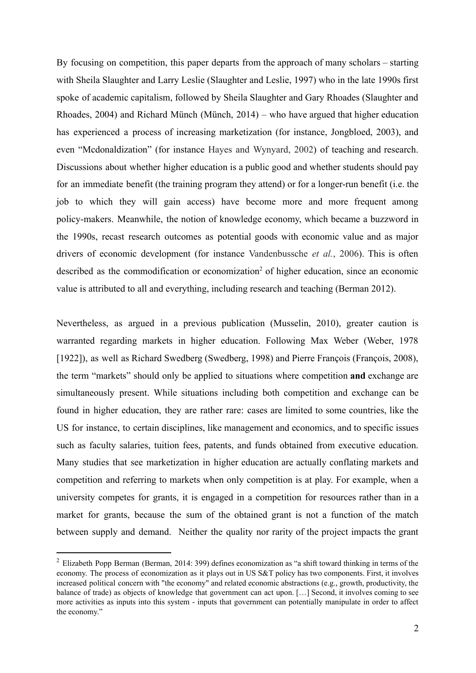By focusing on competition, this paper departs from the approach of many scholars – starting with Sheila Slaughter and Larry Leslie (Slaughter and Leslie, 1997) who in the late 1990s first spoke of academic capitalism, followed by Sheila Slaughter and Gary Rhoades (Slaughter and Rhoades, 2004) and Richard Münch (Münch, 2014) – who have argued that higher education has experienced a process of increasing marketization (for instance, Jongbloed, 2003), and even "Mcdonaldization" (for instance Hayes and Wynyard, 2002) of teaching and research. Discussions about whether higher education is a public good and whether students should pay for an immediate benefit (the training program they attend) or for a longer-run benefit (i.e. the job to which they will gain access) have become more and more frequent among policy-makers. Meanwhile, the notion of knowledge economy, which became a buzzword in the 1990s, recast research outcomes as potential goods with economic value and as major drivers of economic development (for instance Vandenbussche *et al.*, 2006). This is often described as the commodification or economization<sup>2</sup> of higher education, since an economic value is attributed to all and everything, including research and teaching (Berman 2012).

Nevertheless, as argued in a previous publication (Musselin, 2010), greater caution is warranted regarding markets in higher education. Following Max Weber (Weber, 1978 [1922]), as well as Richard Swedberg (Swedberg, 1998) and Pierre François (François, 2008), the term "markets" should only be applied to situations where competition **and** exchange are simultaneously present. While situations including both competition and exchange can be found in higher education, they are rather rare: cases are limited to some countries, like the US for instance, to certain disciplines, like management and economics, and to specific issues such as faculty salaries, tuition fees, patents, and funds obtained from executive education. Many studies that see marketization in higher education are actually conflating markets and competition and referring to markets when only competition is at play. For example, when a university competes for grants, it is engaged in a competition for resources rather than in a market for grants, because the sum of the obtained grant is not a function of the match between supply and demand. Neither the quality nor rarity of the project impacts the grant

<sup>&</sup>lt;sup>2</sup> Elizabeth Popp Berman (Berman, 2014: 399) defines economization as "a shift toward thinking in terms of the economy. The process of economization as it plays out in US S&T policy has two components. First, it involves increased political concern with "the economy" and related economic abstractions (e.g., growth, productivity, the balance of trade) as objects of knowledge that government can act upon. […] Second, it involves coming to see more activities as inputs into this system - inputs that government can potentially manipulate in order to affect the economy."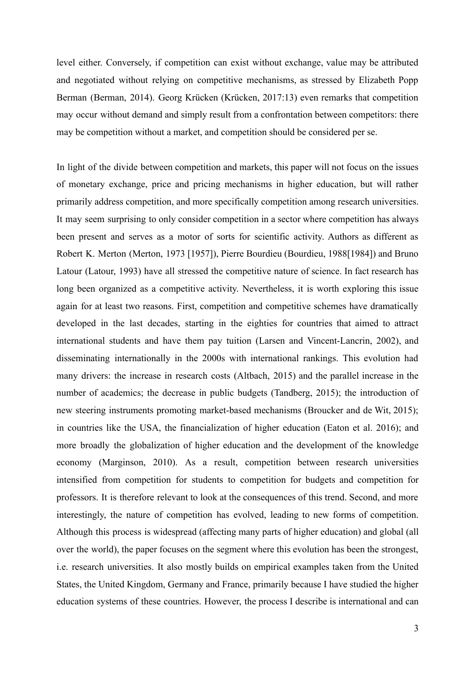level either. Conversely, if competition can exist without exchange, value may be attributed and negotiated without relying on competitive mechanisms, as stressed by Elizabeth Popp Berman (Berman, 2014). Georg Krücken (Krücken, 2017:13) even remarks that competition may occur without demand and simply result from a confrontation between competitors: there may be competition without a market, and competition should be considered per se.

In light of the divide between competition and markets, this paper will not focus on the issues of monetary exchange, price and pricing mechanisms in higher education, but will rather primarily address competition, and more specifically competition among research universities. It may seem surprising to only consider competition in a sector where competition has always been present and serves as a motor of sorts for scientific activity. Authors as different as Robert K. Merton (Merton, 1973 [1957]), Pierre Bourdieu (Bourdieu, 1988[1984]) and Bruno Latour (Latour, 1993) have all stressed the competitive nature of science. In fact research has long been organized as a competitive activity. Nevertheless, it is worth exploring this issue again for at least two reasons. First, competition and competitive schemes have dramatically developed in the last decades, starting in the eighties for countries that aimed to attract international students and have them pay tuition (Larsen and Vincent-Lancrin, 2002), and disseminating internationally in the 2000s with international rankings. This evolution had many drivers: the increase in research costs (Altbach, 2015) and the parallel increase in the number of academics; the decrease in public budgets (Tandberg, 2015); the introduction of new steering instruments promoting market-based mechanisms (Broucker and de Wit, 2015); in countries like the USA, the financialization of higher education (Eaton et al. 2016); and more broadly the globalization of higher education and the development of the knowledge economy (Marginson, 2010). As a result, competition between research universities intensified from competition for students to competition for budgets and competition for professors. It is therefore relevant to look at the consequences of this trend. Second, and more interestingly, the nature of competition has evolved, leading to new forms of competition. Although this process is widespread (affecting many parts of higher education) and global (all over the world), the paper focuses on the segment where this evolution has been the strongest, i.e. research universities. It also mostly builds on empirical examples taken from the United States, the United Kingdom, Germany and France, primarily because I have studied the higher education systems of these countries. However, the process I describe is international and can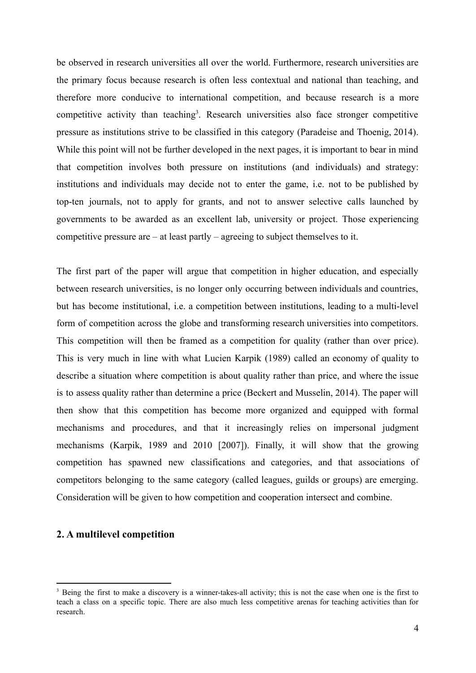be observed in research universities all over the world. Furthermore, research universities are the primary focus because research is often less contextual and national than teaching, and therefore more conducive to international competition, and because research is a more competitive activity than teaching<sup>3</sup>. Research universities also face stronger competitive pressure as institutions strive to be classified in this category (Paradeise and Thoenig, 2014). While this point will not be further developed in the next pages, it is important to bear in mind that competition involves both pressure on institutions (and individuals) and strategy: institutions and individuals may decide not to enter the game, i.e. not to be published by top-ten journals, not to apply for grants, and not to answer selective calls launched by governments to be awarded as an excellent lab, university or project. Those experiencing competitive pressure are – at least partly – agreeing to subject themselves to it.

The first part of the paper will argue that competition in higher education, and especially between research universities, is no longer only occurring between individuals and countries, but has become institutional, i.e. a competition between institutions, leading to a multi-level form of competition across the globe and transforming research universities into competitors. This competition will then be framed as a competition for quality (rather than over price). This is very much in line with what Lucien Karpik (1989) called an economy of quality to describe a situation where competition is about quality rather than price, and where the issue is to assess quality rather than determine a price (Beckert and Musselin, 2014). The paper will then show that this competition has become more organized and equipped with formal mechanisms and procedures, and that it increasingly relies on impersonal judgment mechanisms (Karpik, 1989 and 2010 [2007]). Finally, it will show that the growing competition has spawned new classifications and categories, and that associations of competitors belonging to the same category (called leagues, guilds or groups) are emerging. Consideration will be given to how competition and cooperation intersect and combine.

## **2. A multilevel competition**

<sup>&</sup>lt;sup>3</sup> Being the first to make a discovery is a winner-takes-all activity; this is not the case when one is the first to teach a class on a specific topic. There are also much less competitive arenas for teaching activities than for research.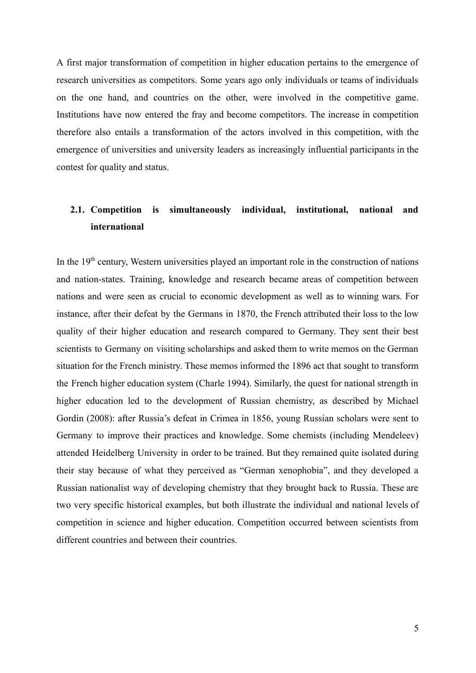A first major transformation of competition in higher education pertains to the emergence of research universities as competitors. Some years ago only individuals or teams of individuals on the one hand, and countries on the other, were involved in the competitive game. Institutions have now entered the fray and become competitors. The increase in competition therefore also entails a transformation of the actors involved in this competition, with the emergence of universities and university leaders as increasingly influential participants in the contest for quality and status.

# **2.1. Competition is simultaneously individual, institutional, national and international**

In the  $19<sup>th</sup>$  century, Western universities played an important role in the construction of nations and nation-states. Training, knowledge and research became areas of competition between nations and were seen as crucial to economic development as well as to winning wars. For instance, after their defeat by the Germans in 1870, the French attributed their loss to the low quality of their higher education and research compared to Germany. They sent their best scientists to Germany on visiting scholarships and asked them to write memos on the German situation for the French ministry. These memos informed the 1896 act that sought to transform the French higher education system (Charle 1994). Similarly, the quest for national strength in higher education led to the development of Russian chemistry, as described by Michael Gordin (2008): after Russia's defeat in Crimea in 1856, young Russian scholars were sent to Germany to improve their practices and knowledge. Some chemists (including Mendeleev) attended Heidelberg University in order to be trained. But they remained quite isolated during their stay because of what they perceived as "German xenophobia", and they developed a Russian nationalist way of developing chemistry that they brought back to Russia. These are two very specific historical examples, but both illustrate the individual and national levels of competition in science and higher education. Competition occurred between scientists from different countries and between their countries.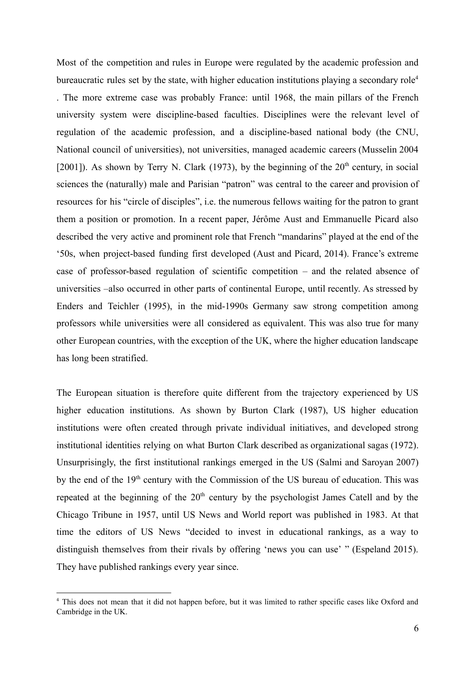Most of the competition and rules in Europe were regulated by the academic profession and bureaucratic rules set by the state, with higher education institutions playing a secondary role<sup>4</sup> . The more extreme case was probably France: until 1968, the main pillars of the French university system were discipline-based faculties. Disciplines were the relevant level of regulation of the academic profession, and a discipline-based national body (the CNU, National council of universities), not universities, managed academic careers (Musselin 2004 [2001]). As shown by Terry N. Clark (1973), by the beginning of the  $20<sup>th</sup>$  century, in social sciences the (naturally) male and Parisian "patron" was central to the career and provision of resources for his "circle of disciples", i.e. the numerous fellows waiting for the patron to grant them a position or promotion. In a recent paper, Jérôme Aust and Emmanuelle Picard also described the very active and prominent role that French "mandarins" played at the end of the '50s, when project-based funding first developed (Aust and Picard, 2014). France's extreme case of professor-based regulation of scientific competition – and the related absence of universities –also occurred in other parts of continental Europe, until recently. As stressed by Enders and Teichler (1995), in the mid-1990s Germany saw strong competition among professors while universities were all considered as equivalent. This was also true for many other European countries, with the exception of the UK, where the higher education landscape has long been stratified.

The European situation is therefore quite different from the trajectory experienced by US higher education institutions. As shown by Burton Clark (1987), US higher education institutions were often created through private individual initiatives, and developed strong institutional identities relying on what Burton Clark described as organizational sagas (1972). Unsurprisingly, the first institutional rankings emerged in the US (Salmi and Saroyan 2007) by the end of the 19<sup>th</sup> century with the Commission of the US bureau of education. This was repeated at the beginning of the  $20<sup>th</sup>$  century by the psychologist James Catell and by the Chicago Tribune in 1957, until US News and World report was published in 1983. At that time the editors of US News "decided to invest in educational rankings, as a way to distinguish themselves from their rivals by offering 'news you can use' " (Espeland 2015). They have published rankings every year since.

<sup>&</sup>lt;sup>4</sup> This does not mean that it did not happen before, but it was limited to rather specific cases like Oxford and Cambridge in the UK.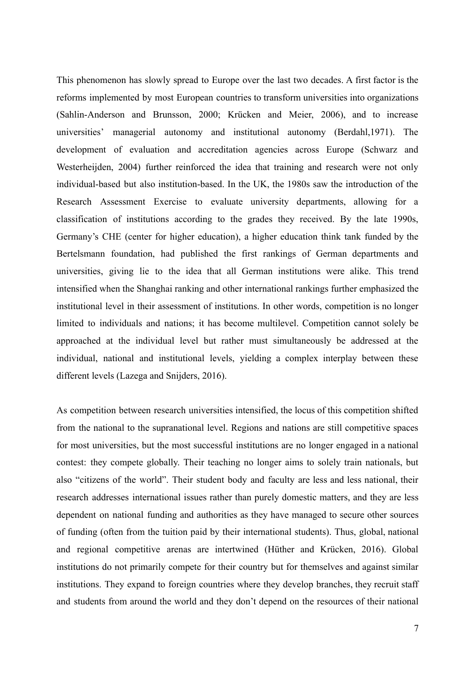This phenomenon has slowly spread to Europe over the last two decades. A first factor is the reforms implemented by most European countries to transform universities into organizations (Sahlin-Anderson and Brunsson, 2000; Krücken and Meier, 2006), and to increase universities' managerial autonomy and institutional autonomy (Berdahl,1971). The development of evaluation and accreditation agencies across Europe (Schwarz and Westerheijden, 2004) further reinforced the idea that training and research were not only individual-based but also institution-based. In the UK, the 1980s saw the introduction of the Research Assessment Exercise to evaluate university departments, allowing for a classification of institutions according to the grades they received. By the late 1990s, Germany's CHE (center for higher education), a higher education think tank funded by the Bertelsmann foundation, had published the first rankings of German departments and universities, giving lie to the idea that all German institutions were alike. This trend intensified when the Shanghai ranking and other international rankings further emphasized the institutional level in their assessment of institutions. In other words, competition is no longer limited to individuals and nations; it has become multilevel. Competition cannot solely be approached at the individual level but rather must simultaneously be addressed at the individual, national and institutional levels, yielding a complex interplay between these different levels (Lazega and Snijders, 2016).

As competition between research universities intensified, the locus of this competition shifted from the national to the supranational level. Regions and nations are still competitive spaces for most universities, but the most successful institutions are no longer engaged in a national contest: they compete globally. Their teaching no longer aims to solely train nationals, but also "citizens of the world". Their student body and faculty are less and less national, their research addresses international issues rather than purely domestic matters, and they are less dependent on national funding and authorities as they have managed to secure other sources of funding (often from the tuition paid by their international students). Thus, global, national and regional competitive arenas are intertwined (Hüther and Krücken, 2016). Global institutions do not primarily compete for their country but for themselves and against similar institutions. They expand to foreign countries where they develop branches, they recruit staff and students from around the world and they don't depend on the resources of their national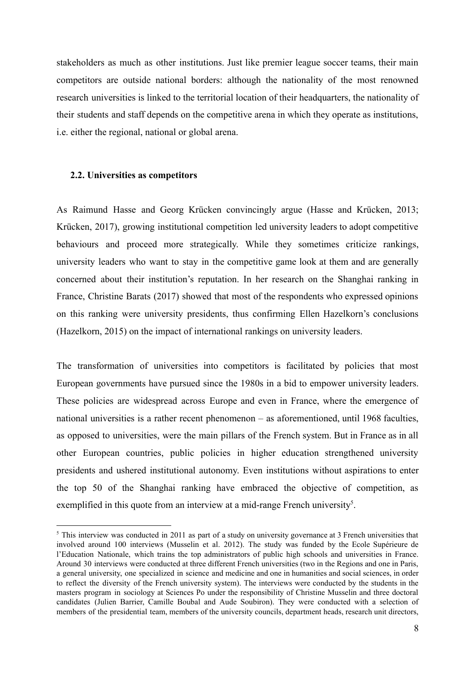stakeholders as much as other institutions. Just like premier league soccer teams, their main competitors are outside national borders: although the nationality of the most renowned research universities is linked to the territorial location of their headquarters, the nationality of their students and staff depends on the competitive arena in which they operate as institutions, i.e. either the regional, national or global arena.

#### **2.2. Universities as competitors**

As Raimund Hasse and Georg Krücken convincingly argue (Hasse and Krücken, 2013; Krücken, 2017), growing institutional competition led university leaders to adopt competitive behaviours and proceed more strategically. While they sometimes criticize rankings, university leaders who want to stay in the competitive game look at them and are generally concerned about their institution's reputation. In her research on the Shanghai ranking in France, Christine Barats (2017) showed that most of the respondents who expressed opinions on this ranking were university presidents, thus confirming Ellen Hazelkorn's conclusions (Hazelkorn, 2015) on the impact of international rankings on university leaders.

The transformation of universities into competitors is facilitated by policies that most European governments have pursued since the 1980s in a bid to empower university leaders. These policies are widespread across Europe and even in France, where the emergence of national universities is a rather recent phenomenon – as aforementioned, until 1968 faculties, as opposed to universities, were the main pillars of the French system. But in France as in all other European countries, public policies in higher education strengthened university presidents and ushered institutional autonomy. Even institutions without aspirations to enter the top 50 of the Shanghai ranking have embraced the objective of competition, as exemplified in this quote from an interview at a mid-range French university<sup>5</sup>.

<sup>&</sup>lt;sup>5</sup> This interview was conducted in 2011 as part of a study on university governance at 3 French universities that involved around 100 interviews (Musselin et al. 2012). The study was funded by the Ecole Supérieure de l'Education Nationale, which trains the top administrators of public high schools and universities in France. Around 30 interviews were conducted at three different French universities (two in the Regions and one in Paris, a general university, one specialized in science and medicine and one in humanities and social sciences, in order to reflect the diversity of the French university system). The interviews were conducted by the students in the masters program in sociology at Sciences Po under the responsibility of Christine Musselin and three doctoral candidates (Julien Barrier, Camille Boubal and Aude Soubiron). They were conducted with a selection of members of the presidential team, members of the university councils, department heads, research unit directors,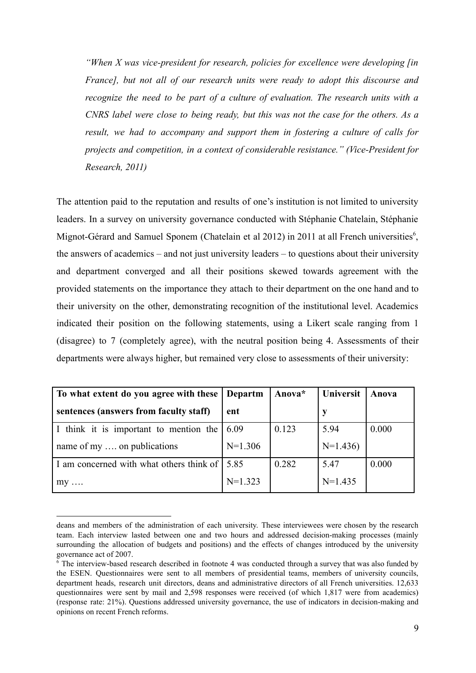*"When X was vice-president for research, policies for excellence were developing [in France], but not all of our research units were ready to adopt this discourse and recognize the need to be part of a culture of evaluation. The research units with a CNRS label were close to being ready, but this was not the case for the others. As a result, we had to accompany and support them in fostering a culture of calls for projects and competition, in a context of considerable resistance." (Vice-President for Research, 2011)*

The attention paid to the reputation and results of one's institution is not limited to university leaders. In a survey on university governance conducted with Stéphanie Chatelain, Stéphanie Mignot-Gérard and Samuel Sponem (Chatelain et al 2012) in 2011 at all French universities<sup>6</sup>, the answers of academics – and not just university leaders – to questions about their university and department converged and all their positions skewed towards agreement with the provided statements on the importance they attach to their department on the one hand and to their university on the other, demonstrating recognition of the institutional level. Academics indicated their position on the following statements, using a Likert scale ranging from 1 (disagree) to 7 (completely agree), with the neutral position being 4. Assessments of their departments were always higher, but remained very close to assessments of their university:

| To what extent do you agree with these   Departm |           | Anova* | Universit | Anova |
|--------------------------------------------------|-----------|--------|-----------|-------|
| sentences (answers from faculty staff)           | ent       |        |           |       |
| I think it is important to mention the           | 6.09      | 0.123  | 5.94      | 0.000 |
| name of my  on publications                      | $N=1.306$ |        | $N=1.436$ |       |
| I am concerned with what others think of         | 5.85      | 0.282  | 5.47      | 0.000 |
|                                                  | $N=1.323$ |        | $N=1.435$ |       |

deans and members of the administration of each university. These interviewees were chosen by the research team. Each interview lasted between one and two hours and addressed decision-making processes (mainly surrounding the allocation of budgets and positions) and the effects of changes introduced by the university governance act of 2007.

 $\overline{6}$  The interview-based research described in footnote 4 was conducted through a survey that was also funded by the ESEN. Questionnaires were sent to all members of presidential teams, members of university councils, department heads, research unit directors, deans and administrative directors of all French universities. 12,633 questionnaires were sent by mail and 2,598 responses were received (of which 1,817 were from academics) (response rate: 21%). Questions addressed university governance, the use of indicators in decision-making and opinions on recent French reforms.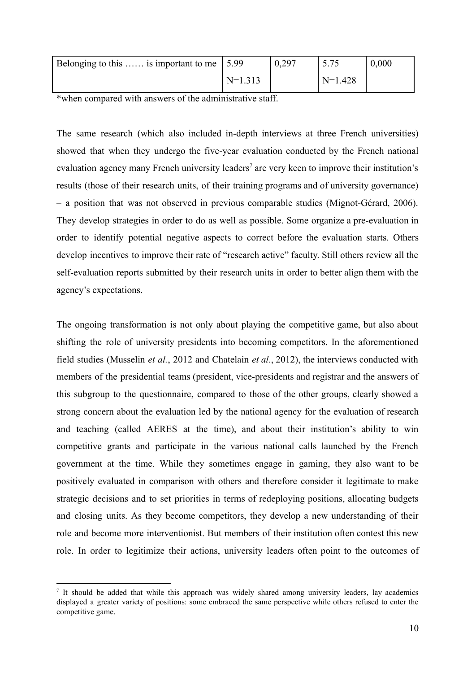| Belonging to this  is important to me   5.99 |           | 0,297 |           | 0,000 |
|----------------------------------------------|-----------|-------|-----------|-------|
|                                              | $N=1.313$ |       | $N=1.428$ |       |

\*when compared with answers of the administrative staff.

The same research (which also included in-depth interviews at three French universities) showed that when they undergo the five-year evaluation conducted by the French national evaluation agency many French university leaders<sup>7</sup> are very keen to improve their institution's results (those of their research units, of their training programs and of university governance) – a position that was not observed in previous comparable studies (Mignot-Gérard, 2006). They develop strategies in order to do as well as possible. Some organize a pre-evaluation in order to identify potential negative aspects to correct before the evaluation starts. Others develop incentives to improve their rate of "research active" faculty. Still others review all the self-evaluation reports submitted by their research units in order to better align them with the agency's expectations.

The ongoing transformation is not only about playing the competitive game, but also about shifting the role of university presidents into becoming competitors. In the aforementioned field studies (Musselin *et al.*, 2012 and Chatelain *et al*., 2012), the interviews conducted with members of the presidential teams (president, vice-presidents and registrar and the answers of this subgroup to the questionnaire, compared to those of the other groups, clearly showed a strong concern about the evaluation led by the national agency for the evaluation of research and teaching (called AERES at the time), and about their institution's ability to win competitive grants and participate in the various national calls launched by the French government at the time. While they sometimes engage in gaming, they also want to be positively evaluated in comparison with others and therefore consider it legitimate to make strategic decisions and to set priorities in terms of redeploying positions, allocating budgets and closing units. As they become competitors, they develop a new understanding of their role and become more interventionist. But members of their institution often contest this new role. In order to legitimize their actions, university leaders often point to the outcomes of

<sup>&</sup>lt;sup>7</sup> It should be added that while this approach was widely shared among university leaders, lay academics displayed a greater variety of positions: some embraced the same perspective while others refused to enter the competitive game.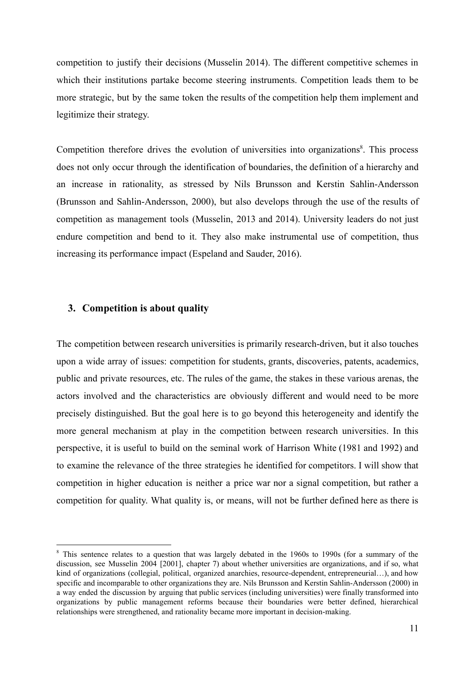competition to justify their decisions (Musselin 2014). The different competitive schemes in which their institutions partake become steering instruments. Competition leads them to be more strategic, but by the same token the results of the competition help them implement and legitimize their strategy.

Competition therefore drives the evolution of universities into organizations<sup>8</sup>. This process does not only occur through the identification of boundaries, the definition of a hierarchy and an increase in rationality, as stressed by Nils Brunsson and Kerstin Sahlin-Andersson (Brunsson and Sahlin-Andersson, 2000), but also develops through the use of the results of competition as management tools (Musselin, 2013 and 2014). University leaders do not just endure competition and bend to it. They also make instrumental use of competition, thus increasing its performance impact (Espeland and Sauder, 2016).

#### **3. Competition is about quality**

The competition between research universities is primarily research-driven, but it also touches upon a wide array of issues: competition for students, grants, discoveries, patents, academics, public and private resources, etc. The rules of the game, the stakes in these various arenas, the actors involved and the characteristics are obviously different and would need to be more precisely distinguished. But the goal here is to go beyond this heterogeneity and identify the more general mechanism at play in the competition between research universities. In this perspective, it is useful to build on the seminal work of Harrison White (1981 and 1992) and to examine the relevance of the three strategies he identified for competitors. I will show that competition in higher education is neither a price war nor a signal competition, but rather a competition for quality. What quality is, or means, will not be further defined here as there is

<sup>&</sup>lt;sup>8</sup> This sentence relates to a question that was largely debated in the 1960s to 1990s (for a summary of the discussion, see Musselin 2004 [2001], chapter 7) about whether universities are organizations, and if so, what kind of organizations (collegial, political, organized anarchies, resource-dependent, entrepreneurial...), and how specific and incomparable to other organizations they are. Nils Brunsson and Kerstin Sahlin-Andersson (2000) in a way ended the discussion by arguing that public services (including universities) were finally transformed into organizations by public management reforms because their boundaries were better defined, hierarchical relationships were strengthened, and rationality became more important in decision-making.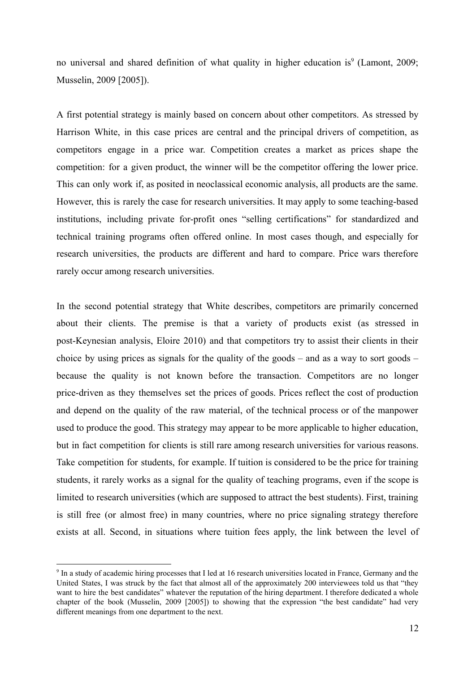no universal and shared definition of what quality in higher education is<sup>9</sup> (Lamont, 2009; Musselin, 2009 [2005]).

A first potential strategy is mainly based on concern about other competitors. As stressed by Harrison White, in this case prices are central and the principal drivers of competition, as competitors engage in a price war. Competition creates a market as prices shape the competition: for a given product, the winner will be the competitor offering the lower price. This can only work if, as posited in neoclassical economic analysis, all products are the same. However, this is rarely the case for research universities. It may apply to some teaching-based institutions, including private for-profit ones "selling certifications" for standardized and technical training programs often offered online. In most cases though, and especially for research universities, the products are different and hard to compare. Price wars therefore rarely occur among research universities.

In the second potential strategy that White describes, competitors are primarily concerned about their clients. The premise is that a variety of products exist (as stressed in post-Keynesian analysis, Eloire 2010) and that competitors try to assist their clients in their choice by using prices as signals for the quality of the goods – and as a way to sort goods – because the quality is not known before the transaction. Competitors are no longer price-driven as they themselves set the prices of goods. Prices reflect the cost of production and depend on the quality of the raw material, of the technical process or of the manpower used to produce the good. This strategy may appear to be more applicable to higher education, but in fact competition for clients is still rare among research universities for various reasons. Take competition for students, for example. If tuition is considered to be the price for training students, it rarely works as a signal for the quality of teaching programs, even if the scope is limited to research universities (which are supposed to attract the best students). First, training is still free (or almost free) in many countries, where no price signaling strategy therefore exists at all. Second, in situations where tuition fees apply, the link between the level of

<sup>&</sup>lt;sup>9</sup> In a study of academic hiring processes that I led at 16 research universities located in France, Germany and the United States, I was struck by the fact that almost all of the approximately 200 interviewees told us that "they want to hire the best candidates" whatever the reputation of the hiring department. I therefore dedicated a whole chapter of the book (Musselin, 2009 [2005]) to showing that the expression "the best candidate" had very different meanings from one department to the next.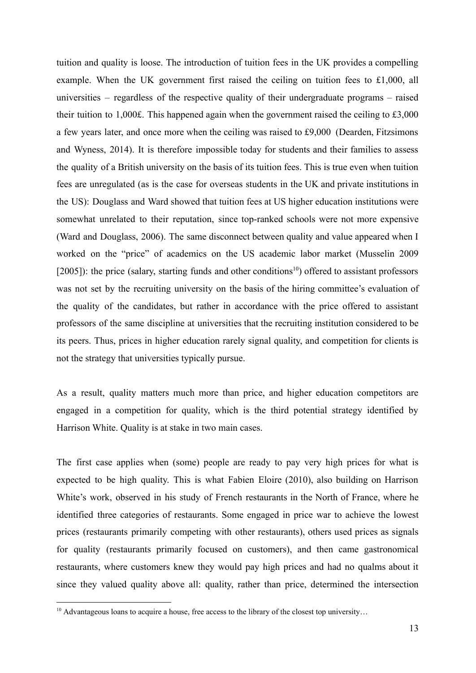tuition and quality is loose. The introduction of tuition fees in the UK provides a compelling example. When the UK government first raised the ceiling on tuition fees to £1,000, all universities – regardless of the respective quality of their undergraduate programs – raised their tuition to 1,000£. This happened again when the government raised the ceiling to £3,000 a few years later, and once more when the ceiling was raised to £9,000 (Dearden, Fitzsimons and Wyness, 2014). It is therefore impossible today for students and their families to assess the quality of a British university on the basis of its tuition fees. This is true even when tuition fees are unregulated (as is the case for overseas students in the UK and private institutions in the US): Douglass and Ward showed that tuition fees at US higher education institutions were somewhat unrelated to their reputation, since top-ranked schools were not more expensive (Ward and Douglass, 2006). The same disconnect between quality and value appeared when I worked on the "price" of academics on the US academic labor market (Musselin 2009 [2005]): the price (salary, starting funds and other conditions<sup>10</sup>) offered to assistant professors was not set by the recruiting university on the basis of the hiring committee's evaluation of the quality of the candidates, but rather in accordance with the price offered to assistant professors of the same discipline at universities that the recruiting institution considered to be its peers. Thus, prices in higher education rarely signal quality, and competition for clients is not the strategy that universities typically pursue.

As a result, quality matters much more than price, and higher education competitors are engaged in a competition for quality, which is the third potential strategy identified by Harrison White. Quality is at stake in two main cases.

The first case applies when (some) people are ready to pay very high prices for what is expected to be high quality. This is what Fabien Eloire (2010), also building on Harrison White's work, observed in his study of French restaurants in the North of France, where he identified three categories of restaurants. Some engaged in price war to achieve the lowest prices (restaurants primarily competing with other restaurants), others used prices as signals for quality (restaurants primarily focused on customers), and then came gastronomical restaurants, where customers knew they would pay high prices and had no qualms about it since they valued quality above all: quality, rather than price, determined the intersection

<sup>&</sup>lt;sup>10</sup> Advantageous loans to acquire a house, free access to the library of the closest top university...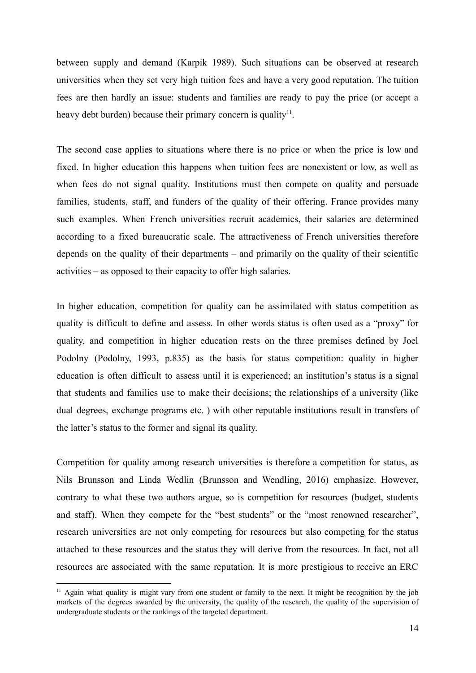between supply and demand (Karpik 1989). Such situations can be observed at research universities when they set very high tuition fees and have a very good reputation. The tuition fees are then hardly an issue: students and families are ready to pay the price (or accept a heavy debt burden) because their primary concern is quality $11$ .

The second case applies to situations where there is no price or when the price is low and fixed. In higher education this happens when tuition fees are nonexistent or low, as well as when fees do not signal quality. Institutions must then compete on quality and persuade families, students, staff, and funders of the quality of their offering. France provides many such examples. When French universities recruit academics, their salaries are determined according to a fixed bureaucratic scale. The attractiveness of French universities therefore depends on the quality of their departments – and primarily on the quality of their scientific activities – as opposed to their capacity to offer high salaries.

In higher education, competition for quality can be assimilated with status competition as quality is difficult to define and assess. In other words status is often used as a "proxy" for quality, and competition in higher education rests on the three premises defined by Joel Podolny (Podolny, 1993, p.835) as the basis for status competition: quality in higher education is often difficult to assess until it is experienced; an institution's status is a signal that students and families use to make their decisions; the relationships of a university (like dual degrees, exchange programs etc. ) with other reputable institutions result in transfers of the latter's status to the former and signal its quality.

Competition for quality among research universities is therefore a competition for status, as Nils Brunsson and Linda Wedlin (Brunsson and Wendling, 2016) emphasize. However, contrary to what these two authors argue, so is competition for resources (budget, students and staff). When they compete for the "best students" or the "most renowned researcher", research universities are not only competing for resources but also competing for the status attached to these resources and the status they will derive from the resources. In fact, not all resources are associated with the same reputation. It is more prestigious to receive an ERC

<sup>&</sup>lt;sup>11</sup> Again what quality is might vary from one student or family to the next. It might be recognition by the job markets of the degrees awarded by the university, the quality of the research, the quality of the supervision of undergraduate students or the rankings of the targeted department.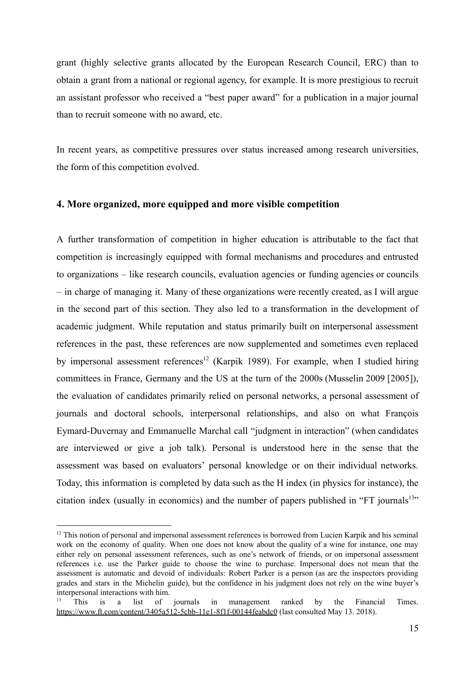grant (highly selective grants allocated by the European Research Council, ERC) than to obtain a grant from a national or regional agency, for example. It is more prestigious to recruit an assistant professor who received a "best paper award" for a publication in a major journal than to recruit someone with no award, etc.

In recent years, as competitive pressures over status increased among research universities, the form of this competition evolved.

## **4. More organized, more equipped and more visible competition**

A further transformation of competition in higher education is attributable to the fact that competition is increasingly equipped with formal mechanisms and procedures and entrusted to organizations – like research councils, evaluation agencies or funding agencies or councils – in charge of managing it. Many of these organizations were recently created, as I will argue in the second part of this section. They also led to a transformation in the development of academic judgment. While reputation and status primarily built on interpersonal assessment references in the past, these references are now supplemented and sometimes even replaced by impersonal assessment references<sup>12</sup> (Karpik 1989). For example, when I studied hiring committees in France, Germany and the US at the turn of the 2000s (Musselin 2009 [2005]), the evaluation of candidates primarily relied on personal networks, a personal assessment of journals and doctoral schools, interpersonal relationships, and also on what François Eymard-Duvernay and Emmanuelle Marchal call "judgment in interaction" (when candidates are interviewed or give a job talk). Personal is understood here in the sense that the assessment was based on evaluators' personal knowledge or on their individual networks. Today, this information is completed by data such as the H index (in physics for instance), the citation index (usually in economics) and the number of papers published in "FT journals $13$ "

<sup>&</sup>lt;sup>12</sup> This notion of personal and impersonal assessment references is borrowed from Lucien Karpik and his seminal work on the economy of quality. When one does not know about the quality of a wine for instance, one may either rely on personal assessment references, such as one's network of friends, or on impersonal assessment references i.e. use the Parker guide to choose the wine to purchase. Impersonal does not mean that the assessment is automatic and devoid of individuals: Robert Parker is a person (as are the inspectors providing grades and stars in the Michelin guide), but the confidence in his judgment does not rely on the wine buyer's interpersonal interactions with him.

<sup>&</sup>lt;sup>13</sup> This is a list of journals in management ranked by the Financial Times. <https://www.ft.com/content/3405a512-5cbb-11e1-8f1f-00144feabdc0> (last consulted May 13. 2018).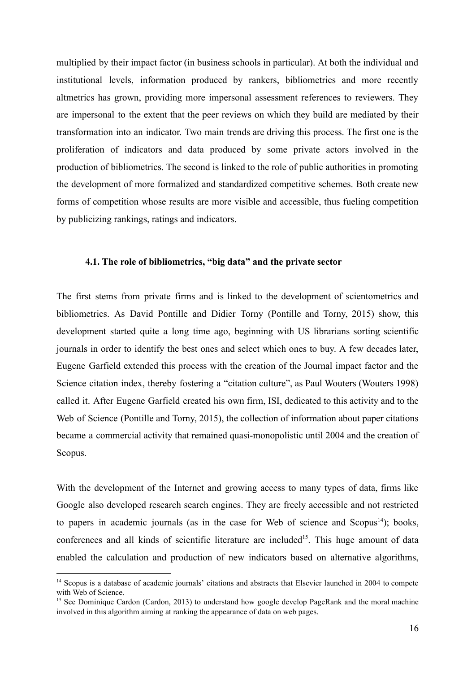multiplied by their impact factor (in business schools in particular). At both the individual and institutional levels, information produced by rankers, bibliometrics and more recently altmetrics has grown, providing more impersonal assessment references to reviewers. They are impersonal to the extent that the peer reviews on which they build are mediated by their transformation into an indicator. Two main trends are driving this process. The first one is the proliferation of indicators and data produced by some private actors involved in the production of bibliometrics. The second is linked to the role of public authorities in promoting the development of more formalized and standardized competitive schemes. Both create new forms of competition whose results are more visible and accessible, thus fueling competition by publicizing rankings, ratings and indicators.

## **4.1. The role of bibliometrics, "big data" and the private sector**

The first stems from private firms and is linked to the development of scientometrics and bibliometrics. As David Pontille and Didier Torny (Pontille and Torny, 2015) show, this development started quite a long time ago, beginning with US librarians sorting scientific journals in order to identify the best ones and select which ones to buy. A few decades later, Eugene Garfield extended this process with the creation of the Journal impact factor and the Science citation index, thereby fostering a "citation culture", as Paul Wouters (Wouters 1998) called it. After Eugene Garfield created his own firm, ISI, dedicated to this activity and to the Web of Science (Pontille and Torny, 2015), the collection of information about paper citations became a commercial activity that remained quasi-monopolistic until 2004 and the creation of Scopus.

With the development of the Internet and growing access to many types of data, firms like Google also developed research search engines. They are freely accessible and not restricted to papers in academic journals (as in the case for Web of science and Scopus<sup>14</sup>); books, conferences and all kinds of scientific literature are included<sup>15</sup>. This huge amount of data enabled the calculation and production of new indicators based on alternative algorithms,

<sup>&</sup>lt;sup>14</sup> Scopus is a database of academic journals' citations and abstracts that Elsevier launched in 2004 to compete with Web of Science.

<sup>&</sup>lt;sup>15</sup> See Dominique Cardon (Cardon, 2013) to understand how google develop PageRank and the moral machine involved in this algorithm aiming at ranking the appearance of data on web pages.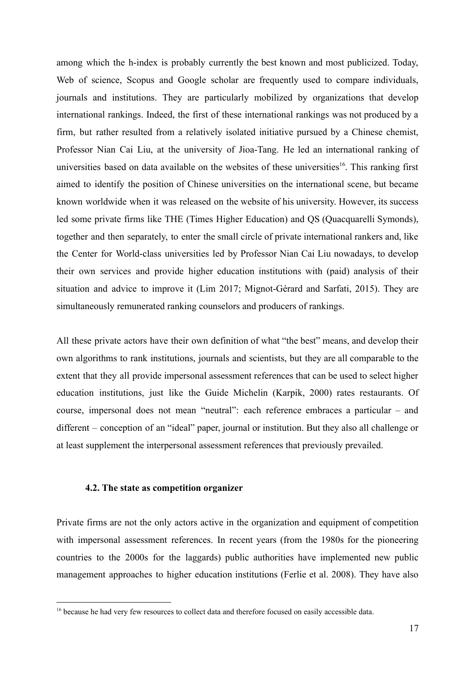among which the h-index is probably currently the best known and most publicized. Today, Web of science, Scopus and Google scholar are frequently used to compare individuals, journals and institutions. They are particularly mobilized by organizations that develop international rankings. Indeed, the first of these international rankings was not produced by a firm, but rather resulted from a relatively isolated initiative pursued by a Chinese chemist, Professor Nian Cai Liu, at the university of Jioa-Tang. He led an international ranking of universities based on data available on the websites of these universities<sup>16</sup>. This ranking first aimed to identify the position of Chinese universities on the international scene, but became known worldwide when it was released on the website of his university. However, its success led some private firms like THE (Times Higher Education) and QS (Quacquarelli Symonds), together and then separately, to enter the small circle of private international rankers and, like the Center for World-class universities led by Professor Nian Cai Liu nowadays, to develop their own services and provide higher education institutions with (paid) analysis of their situation and advice to improve it (Lim 2017; Mignot-Gérard and Sarfati, 2015). They are simultaneously remunerated ranking counselors and producers of rankings.

All these private actors have their own definition of what "the best" means, and develop their own algorithms to rank institutions, journals and scientists, but they are all comparable to the extent that they all provide impersonal assessment references that can be used to select higher education institutions, just like the Guide Michelin (Karpik, 2000) rates restaurants. Of course, impersonal does not mean "neutral": each reference embraces a particular – and different – conception of an "ideal" paper, journal or institution. But they also all challenge or at least supplement the interpersonal assessment references that previously prevailed.

## **4.2. The state as competition organizer**

Private firms are not the only actors active in the organization and equipment of competition with impersonal assessment references. In recent years (from the 1980s for the pioneering countries to the 2000s for the laggards) public authorities have implemented new public management approaches to higher education institutions (Ferlie et al. 2008). They have also

<sup>&</sup>lt;sup>16</sup> because he had very few resources to collect data and therefore focused on easily accessible data.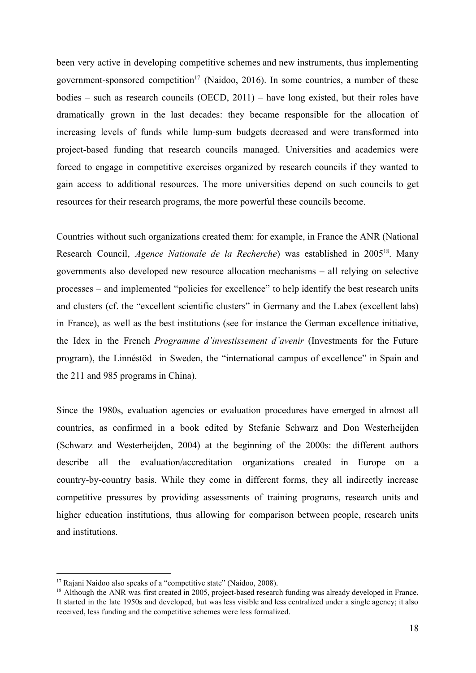been very active in developing competitive schemes and new instruments, thus implementing government-sponsored competition<sup>17</sup> (Naidoo, 2016). In some countries, a number of these bodies – such as research councils (OECD, 2011) – have long existed, but their roles have dramatically grown in the last decades: they became responsible for the allocation of increasing levels of funds while lump-sum budgets decreased and were transformed into project-based funding that research councils managed. Universities and academics were forced to engage in competitive exercises organized by research councils if they wanted to gain access to additional resources. The more universities depend on such councils to get resources for their research programs, the more powerful these councils become.

Countries without such organizations created them: for example, in France the ANR (National Research Council, *Agence Nationale de la Recherche*) was established in 2005<sup>18</sup>. Many governments also developed new resource allocation mechanisms – all relying on selective processes – and implemented "policies for excellence" to help identify the best research units and clusters (cf. the "excellent scientific clusters" in Germany and the Labex (excellent labs) in France), as well as the best institutions (see for instance the German excellence initiative, the Idex in the French *Programme d'investissement d'avenir* (Investments for the Future program), the Linnéstöd in Sweden, the "international campus of excellence" in Spain and the 211 and 985 programs in China).

Since the 1980s, evaluation agencies or evaluation procedures have emerged in almost all countries, as confirmed in a book edited by Stefanie Schwarz and Don Westerheijden (Schwarz and Westerheijden, 2004) at the beginning of the 2000s: the different authors describe all the evaluation/accreditation organizations created in Europe on a country-by-country basis. While they come in different forms, they all indirectly increase competitive pressures by providing assessments of training programs, research units and higher education institutions, thus allowing for comparison between people, research units and institutions.

 $17$  Rajani Naidoo also speaks of a "competitive state" (Naidoo, 2008).

<sup>&</sup>lt;sup>18</sup> Although the ANR was first created in 2005, project-based research funding was already developed in France. It started in the late 1950s and developed, but was less visible and less centralized under a single agency; it also received, less funding and the competitive schemes were less formalized.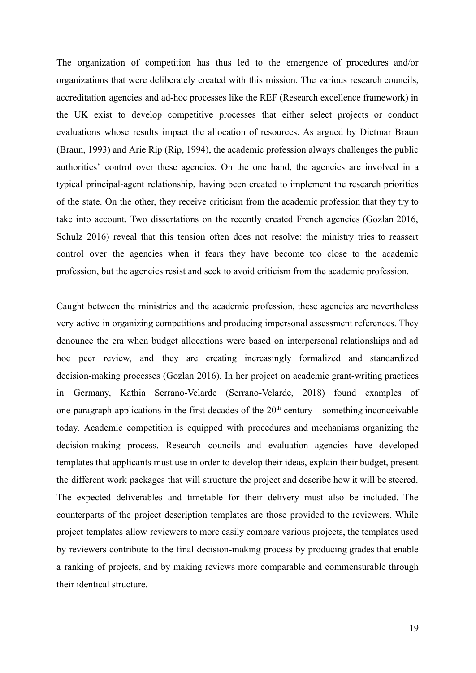The organization of competition has thus led to the emergence of procedures and/or organizations that were deliberately created with this mission. The various research councils, accreditation agencies and ad-hoc processes like the REF (Research excellence framework) in the UK exist to develop competitive processes that either select projects or conduct evaluations whose results impact the allocation of resources. As argued by Dietmar Braun (Braun, 1993) and Arie Rip (Rip, 1994), the academic profession always challenges the public authorities' control over these agencies. On the one hand, the agencies are involved in a typical principal-agent relationship, having been created to implement the research priorities of the state. On the other, they receive criticism from the academic profession that they try to take into account. Two dissertations on the recently created French agencies (Gozlan 2016, Schulz 2016) reveal that this tension often does not resolve: the ministry tries to reassert control over the agencies when it fears they have become too close to the academic profession, but the agencies resist and seek to avoid criticism from the academic profession.

Caught between the ministries and the academic profession, these agencies are nevertheless very active in organizing competitions and producing impersonal assessment references. They denounce the era when budget allocations were based on interpersonal relationships and ad hoc peer review, and they are creating increasingly formalized and standardized decision-making processes (Gozlan 2016). In her project on academic grant-writing practices in Germany, Kathia Serrano-Velarde (Serrano-Velarde, 2018) found examples of one-paragraph applications in the first decades of the  $20<sup>th</sup>$  century – something inconceivable today. Academic competition is equipped with procedures and mechanisms organizing the decision-making process. Research councils and evaluation agencies have developed templates that applicants must use in order to develop their ideas, explain their budget, present the different work packages that will structure the project and describe how it will be steered. The expected deliverables and timetable for their delivery must also be included. The counterparts of the project description templates are those provided to the reviewers. While project templates allow reviewers to more easily compare various projects, the templates used by reviewers contribute to the final decision-making process by producing grades that enable a ranking of projects, and by making reviews more comparable and commensurable through their identical structure.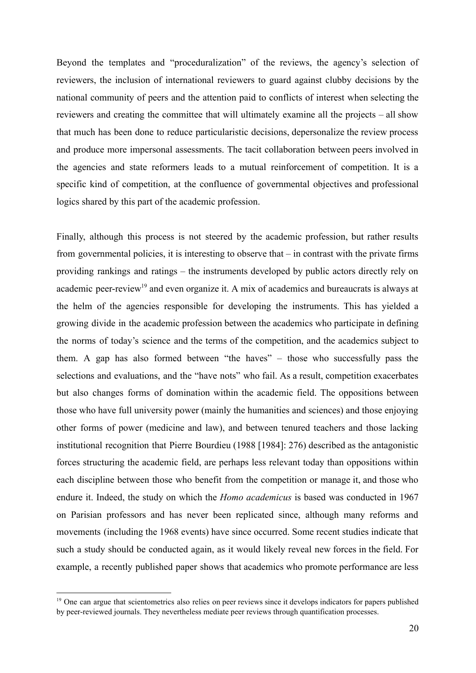Beyond the templates and "proceduralization" of the reviews, the agency's selection of reviewers, the inclusion of international reviewers to guard against clubby decisions by the national community of peers and the attention paid to conflicts of interest when selecting the reviewers and creating the committee that will ultimately examine all the projects – all show that much has been done to reduce particularistic decisions, depersonalize the review process and produce more impersonal assessments. The tacit collaboration between peers involved in the agencies and state reformers leads to a mutual reinforcement of competition. It is a specific kind of competition, at the confluence of governmental objectives and professional logics shared by this part of the academic profession.

Finally, although this process is not steered by the academic profession, but rather results from governmental policies, it is interesting to observe that – in contrast with the private firms providing rankings and ratings – the instruments developed by public actors directly rely on academic peer-review<sup>19</sup> and even organize it. A mix of academics and bureaucrats is always at the helm of the agencies responsible for developing the instruments. This has yielded a growing divide in the academic profession between the academics who participate in defining the norms of today's science and the terms of the competition, and the academics subject to them. A gap has also formed between "the haves" – those who successfully pass the selections and evaluations, and the "have nots" who fail. As a result, competition exacerbates but also changes forms of domination within the academic field. The oppositions between those who have full university power (mainly the humanities and sciences) and those enjoying other forms of power (medicine and law), and between tenured teachers and those lacking institutional recognition that Pierre Bourdieu (1988 [1984]: 276) described as the antagonistic forces structuring the academic field, are perhaps less relevant today than oppositions within each discipline between those who benefit from the competition or manage it, and those who endure it. Indeed, the study on which the *Homo academicus* is based was conducted in 1967 on Parisian professors and has never been replicated since, although many reforms and movements (including the 1968 events) have since occurred. Some recent studies indicate that such a study should be conducted again, as it would likely reveal new forces in the field. For example, a recently published paper shows that academics who promote performance are less

<sup>&</sup>lt;sup>19</sup> One can argue that scientometrics also relies on peer reviews since it develops indicators for papers published by peer-reviewed journals. They nevertheless mediate peer reviews through quantification processes.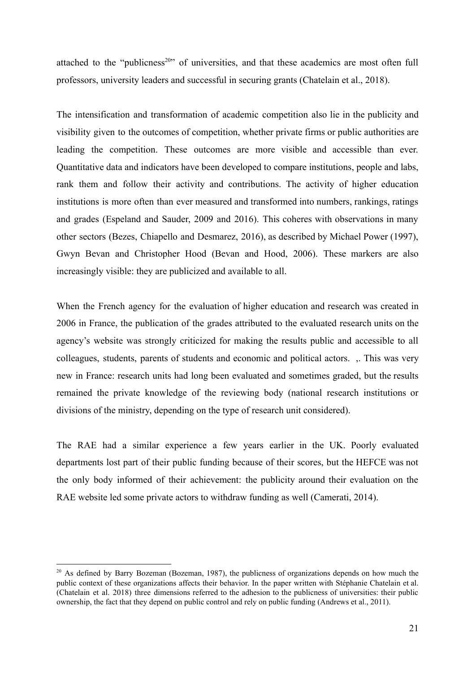attached to the "publicness<sup>20</sup>" of universities, and that these academics are most often full professors, university leaders and successful in securing grants (Chatelain et al., 2018).

The intensification and transformation of academic competition also lie in the publicity and visibility given to the outcomes of competition, whether private firms or public authorities are leading the competition. These outcomes are more visible and accessible than ever. Quantitative data and indicators have been developed to compare institutions, people and labs, rank them and follow their activity and contributions. The activity of higher education institutions is more often than ever measured and transformed into numbers, rankings, ratings and grades (Espeland and Sauder, 2009 and 2016). This coheres with observations in many other sectors (Bezes, Chiapello and Desmarez, 2016), as described by Michael Power (1997), Gwyn Bevan and Christopher Hood (Bevan and Hood, 2006). These markers are also increasingly visible: they are publicized and available to all.

When the French agency for the evaluation of higher education and research was created in 2006 in France, the publication of the grades attributed to the evaluated research units on the agency's website was strongly criticized for making the results public and accessible to all colleagues, students, parents of students and economic and political actors. ,. This was very new in France: research units had long been evaluated and sometimes graded, but the results remained the private knowledge of the reviewing body (national research institutions or divisions of the ministry, depending on the type of research unit considered).

The RAE had a similar experience a few years earlier in the UK. Poorly evaluated departments lost part of their public funding because of their scores, but the HEFCE was not the only body informed of their achievement: the publicity around their evaluation on the RAE website led some private actors to withdraw funding as well (Camerati, 2014).

<sup>&</sup>lt;sup>20</sup> As defined by Barry Bozeman (Bozeman, 1987), the publicness of organizations depends on how much the public context of these organizations affects their behavior. In the paper written with Stéphanie Chatelain et al. (Chatelain et al. 2018) three dimensions referred to the adhesion to the publicness of universities: their public ownership, the fact that they depend on public control and rely on public funding (Andrews et al., 2011).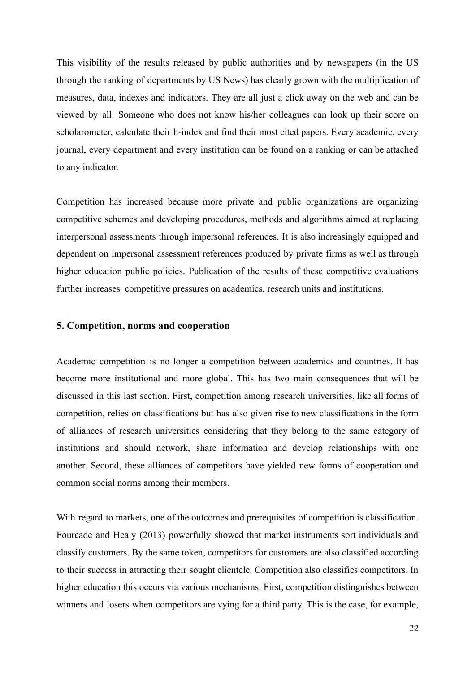This visibility of the results released by public authorities and by newspapers (in the US through the ranking of departments by US News) has clearly grown with the multiplication of measures, data, indexes and indicators. They are all just a click away on the web and can be viewed by all. Someone who does not know his/her colleagues can look up their score on scholarometer, calculate their h-index and find their most cited papers. Every academic, every journal, every department and every institution can be found on a ranking or can be attached to any indicator.

Competition has increased because more private and public organizations are organizing competitive schemes and developing procedures, methods and algorithms aimed at replacing interpersonal assessments through impersonal references. It is also increasingly equipped and dependent on impersonal assessment references produced by private firms as well as through higher education public policies. Publication of the results of these competitive evaluations further increases competitive pressures on academics, research units and institutions.

#### **5. Competition, norms and cooperation**

Academic competition is no longer a competition between academics and countries. It has become more institutional and more global. This has two main consequences that will be discussed in this last section. First, competition among research universities, like all forms of competition, relies on classifications but has also given rise to new classifications in the form of alliances of research universities considering that they belong to the same category of institutions and should network, share information and develop relationships with one another. Second, these alliances of competitors have yielded new forms of cooperation and common social norms among their members.

With regard to markets, one of the outcomes and prerequisites of competition is classification. Fourcade and Healy (2013) powerfully showed that market instruments sort individuals and classify customers. By the same token, competitors for customers are also classified according to their success in attracting their sought clientele. Competition also classifies competitors. In higher education this occurs via various mechanisms. First, competition distinguishes between winners and losers when competitors are vying for a third party. This is the case, for example,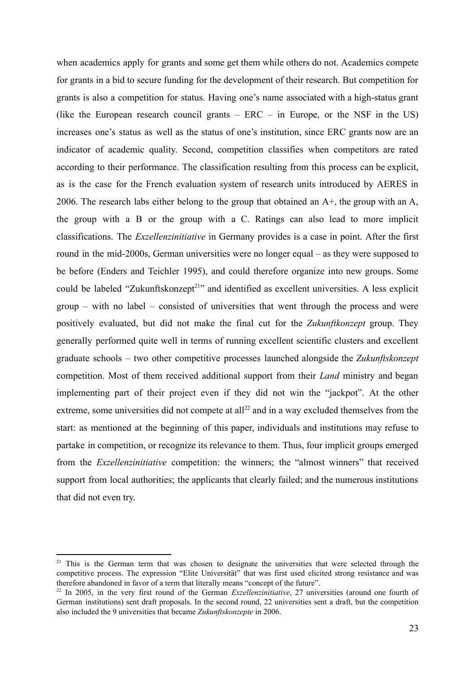when academics apply for grants and some get them while others do not. Academics compete for grants in a bid to secure funding for the development of their research. But competition for grants is also a competition for status. Having one's name associated with a high-status grant (like the European research council grants – ERC – in Europe, or the NSF in the US) increases one's status as well as the status of one's institution, since ERC grants now are an indicator of academic quality. Second, competition classifies when competitors are rated according to their performance. The classification resulting from this process can be explicit, as is the case for the French evaluation system of research units introduced by AERES in 2006. The research labs either belong to the group that obtained an A+, the group with an A, the group with a B or the group with a C. Ratings can also lead to more implicit classifications. The *Exzellenzinitiative* in Germany provides is a case in point. After the first round in the mid-2000s, German universities were no longer equal – as they were supposed to be before (Enders and Teichler 1995), and could therefore organize into new groups. Some could be labeled "Zukunftskonzept<sup>21</sup>" and identified as excellent universities. A less explicit group – with no label – consisted of universities that went through the process and were positively evaluated, but did not make the final cut for the *Zukunftkonzept* group. They generally performed quite well in terms of running excellent scientific clusters and excellent graduate schools – two other competitive processes launched alongside the *Zukunftskonzept* competition. Most of them received additional support from their *Land* ministry and began implementing part of their project even if they did not win the "jackpot". At the other extreme, some universities did not compete at all<sup>22</sup> and in a way excluded themselves from the start: as mentioned at the beginning of this paper, individuals and institutions may refuse to partake in competition, or recognize its relevance to them. Thus, four implicit groups emerged from the *Exzellenzinitiative* competition: the winners; the "almost winners" that received support from local authorities; the applicants that clearly failed; and the numerous institutions that did not even try.

<sup>&</sup>lt;sup>21</sup> This is the German term that was chosen to designate the universities that were selected through the competitive process. The expression "Elite Universität" that was first used elicited strong resistance and was therefore abandoned in favor of a term that literally means "concept of the future".

<sup>22</sup> In 2005, in the very first round of the German *Exzellenzinitiative*, 27 universities (around one fourth of German institutions) sent draft proposals. In the second round, 22 universities sent a draft, but the competition also included the 9 universities that became *Zukunftskonzepte* in 2006.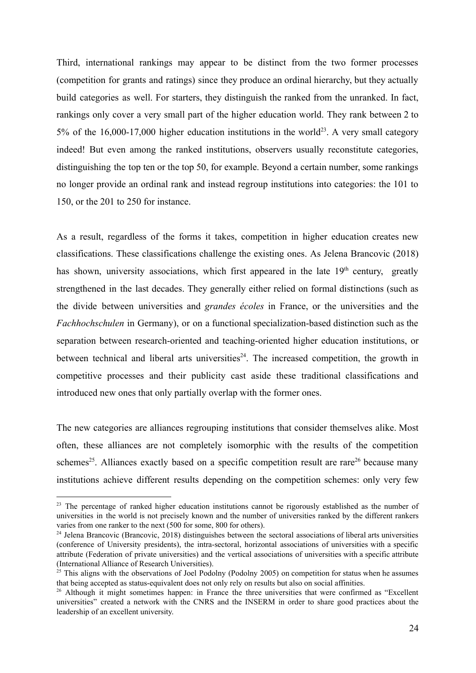Third, international rankings may appear to be distinct from the two former processes (competition for grants and ratings) since they produce an ordinal hierarchy, but they actually build categories as well. For starters, they distinguish the ranked from the unranked. In fact, rankings only cover a very small part of the higher education world. They rank between 2 to 5% of the 16,000-17,000 higher education institutions in the world<sup>23</sup>. A very small category indeed! But even among the ranked institutions, observers usually reconstitute categories, distinguishing the top ten or the top 50, for example. Beyond a certain number, some rankings no longer provide an ordinal rank and instead regroup institutions into categories: the 101 to 150, or the 201 to 250 for instance.

As a result, regardless of the forms it takes, competition in higher education creates new classifications. These classifications challenge the existing ones. As Jelena Brancovic (2018) has shown, university associations, which first appeared in the late  $19<sup>th</sup>$  century, greatly strengthened in the last decades. They generally either relied on formal distinctions (such as the divide between universities and *grandes écoles* in France, or the universities and the *Fachhochschulen* in Germany), or on a functional specialization-based distinction such as the separation between research-oriented and teaching-oriented higher education institutions, or between technical and liberal arts universities<sup>24</sup>. The increased competition, the growth in competitive processes and their publicity cast aside these traditional classifications and introduced new ones that only partially overlap with the former ones.

The new categories are alliances regrouping institutions that consider themselves alike. Most often, these alliances are not completely isomorphic with the results of the competition schemes<sup>25</sup>. Alliances exactly based on a specific competition result are rare <sup>26</sup> because many institutions achieve different results depending on the competition schemes: only very few

<sup>&</sup>lt;sup>23</sup> The percentage of ranked higher education institutions cannot be rigorously established as the number of universities in the world is not precisely known and the number of universities ranked by the different rankers varies from one ranker to the next (500 for some, 800 for others).

<sup>&</sup>lt;sup>24</sup> Jelena Brancovic (Brancovic, 2018) distinguishes between the sectoral associations of liberal arts universities (conference of University presidents), the intra-sectoral, horizontal associations of universities with a specific attribute (Federation of private universities) and the vertical associations of universities with a specific attribute (International Alliance of Research Universities).

 $^{25}$  This aligns with the observations of Joel Podolny (Podolny 2005) on competition for status when he assumes that being accepted as status-equivalent does not only rely on results but also on social affinities.

<sup>&</sup>lt;sup>26</sup> Although it might sometimes happen: in France the three universities that were confirmed as "Excellent" universities" created a network with the CNRS and the INSERM in order to share good practices about the leadership of an excellent university.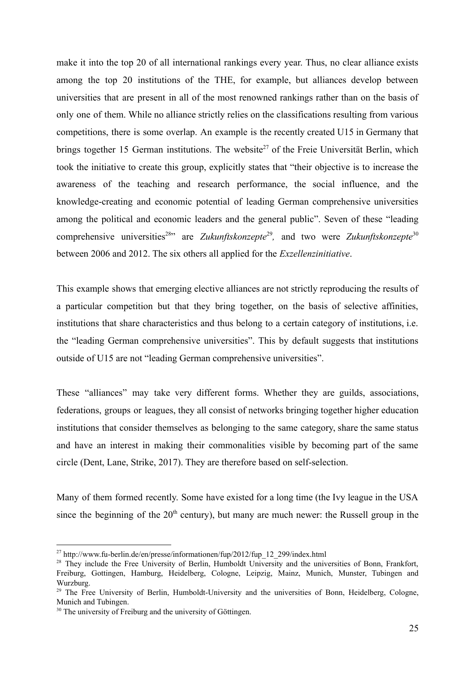make it into the top 20 of all international rankings every year. Thus, no clear alliance exists among the top 20 institutions of the THE, for example, but alliances develop between universities that are present in all of the most renowned rankings rather than on the basis of only one of them. While no alliance strictly relies on the classifications resulting from various competitions, there is some overlap. An example is the recently created U15 in Germany that brings together 15 German institutions. The website<sup>27</sup> of the Freie Universität Berlin, which took the initiative to create this group, explicitly states that "their objective is to increase the awareness of the teaching and research performance, the social influence, and the knowledge-creating and economic potential of leading German comprehensive universities among the political and economic leaders and the general public". Seven of these "leading comprehensive universities<sup>28</sup><sup>28</sup> are *Zukunftskonzepte*<sup>29</sup>, and two were *Zukunftskonzepte*<sup>30</sup> between 2006 and 2012. The six others all applied for the *Exzellenzinitiative*.

This example shows that emerging elective alliances are not strictly reproducing the results of a particular competition but that they bring together, on the basis of selective affinities, institutions that share characteristics and thus belong to a certain category of institutions, i.e. the "leading German comprehensive universities". This by default suggests that institutions outside of U15 are not "leading German comprehensive universities".

These "alliances" may take very different forms. Whether they are guilds, associations, federations, groups or leagues, they all consist of networks bringing together higher education institutions that consider themselves as belonging to the same category, share the same status and have an interest in making their commonalities visible by becoming part of the same circle (Dent, Lane, Strike, 2017). They are therefore based on self-selection.

Many of them formed recently. Some have existed for a long time (the Ivy league in the USA since the beginning of the  $20<sup>th</sup>$  century), but many are much newer: the Russell group in the

 $^{27}$  http://www.fu-berlin.de/en/presse/informationen/fup/2012/fup\_12\_299/index.html

<sup>&</sup>lt;sup>28</sup> They include the Free University of Berlin, Humboldt University and the universities of Bonn, Frankfort, Freiburg, Gottingen, Hamburg, Heidelberg, Cologne, Leipzig, Mainz, Munich, Munster, Tubingen and Wurzburg.

 $29$  The Free University of Berlin, Humboldt-University and the universities of Bonn, Heidelberg, Cologne, Munich and Tubingen.

<sup>&</sup>lt;sup>30</sup> The university of Freiburg and the university of Göttingen.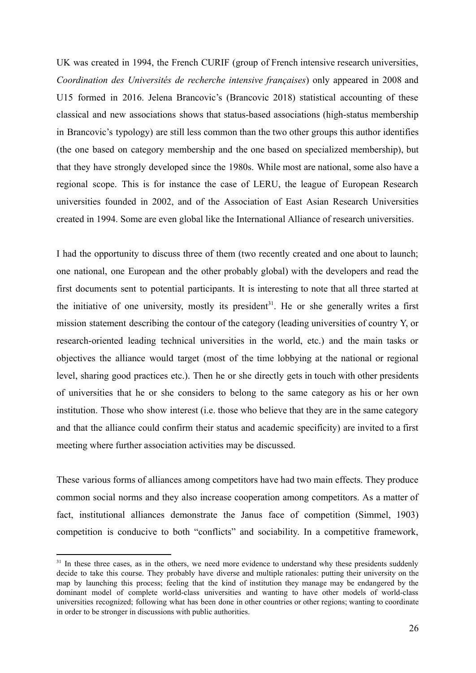UK was created in 1994, the French CURIF (group of French intensive research universities, *Coordination des Universités de recherche intensive françaises*) only appeared in 2008 and U15 formed in 2016. Jelena Brancovic's (Brancovic 2018) statistical accounting of these classical and new associations shows that status-based associations (high-status membership in Brancovic's typology) are still less common than the two other groups this author identifies (the one based on category membership and the one based on specialized membership), but that they have strongly developed since the 1980s. While most are national, some also have a regional scope. This is for instance the case of LERU, the league of European Research universities founded in 2002, and of the Association of East Asian Research Universities created in 1994. Some are even global like the International Alliance of research universities.

I had the opportunity to discuss three of them (two recently created and one about to launch; one national, one European and the other probably global) with the developers and read the first documents sent to potential participants. It is interesting to note that all three started at the initiative of one university, mostly its president<sup>31</sup>. He or she generally writes a first mission statement describing the contour of the category (leading universities of country Y, or research-oriented leading technical universities in the world, etc.) and the main tasks or objectives the alliance would target (most of the time lobbying at the national or regional level, sharing good practices etc.). Then he or she directly gets in touch with other presidents of universities that he or she considers to belong to the same category as his or her own institution. Those who show interest (i.e. those who believe that they are in the same category and that the alliance could confirm their status and academic specificity) are invited to a first meeting where further association activities may be discussed.

These various forms of alliances among competitors have had two main effects. They produce common social norms and they also increase cooperation among competitors. As a matter of fact, institutional alliances demonstrate the Janus face of competition (Simmel, 1903) competition is conducive to both "conflicts" and sociability. In a competitive framework,

<sup>&</sup>lt;sup>31</sup> In these three cases, as in the others, we need more evidence to understand why these presidents suddenly decide to take this course. They probably have diverse and multiple rationales: putting their university on the map by launching this process; feeling that the kind of institution they manage may be endangered by the dominant model of complete world-class universities and wanting to have other models of world-class universities recognized; following what has been done in other countries or other regions; wanting to coordinate in order to be stronger in discussions with public authorities.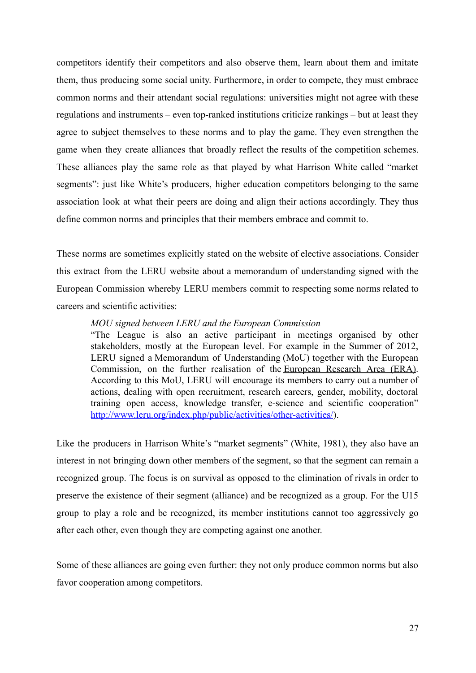competitors identify their competitors and also observe them, learn about them and imitate them, thus producing some social unity. Furthermore, in order to compete, they must embrace common norms and their attendant social regulations: universities might not agree with these regulations and instruments – even top-ranked institutions criticize rankings – but at least they agree to subject themselves to these norms and to play the game. They even strengthen the game when they create alliances that broadly reflect the results of the competition schemes. These alliances play the same role as that played by what Harrison White called "market segments": just like White's producers, higher education competitors belonging to the same association look at what their peers are doing and align their actions accordingly. They thus define common norms and principles that their members embrace and commit to.

These norms are sometimes explicitly stated on the website of elective associations. Consider this extract from the LERU website about a memorandum of understanding signed with the European Commission whereby LERU members commit to respecting some norms related to careers and scientific activities:

#### *MOU signed between LERU and the European Commission*

"The League is also an active participant in meetings organised by other stakeholders, mostly at the European level. For example in the Summer of 2012, LERU signed a Memorandum of Understanding (MoU) together with the European Commission, on the further realisation of the European Research Area (ERA). According to this MoU, LERU will encourage its members to carry out a number of actions, dealing with open recruitment, research careers, gender, mobility, doctoral training open access, knowledge transfer, e-science and scientific cooperation" <http://www.leru.org/index.php/public/activities/other-activities/>).

Like the producers in Harrison White's "market segments" (White, 1981), they also have an interest in not bringing down other members of the segment, so that the segment can remain a recognized group. The focus is on survival as opposed to the elimination of rivals in order to preserve the existence of their segment (alliance) and be recognized as a group. For the U15 group to play a role and be recognized, its member institutions cannot too aggressively go after each other, even though they are competing against one another.

Some of these alliances are going even further: they not only produce common norms but also favor cooperation among competitors.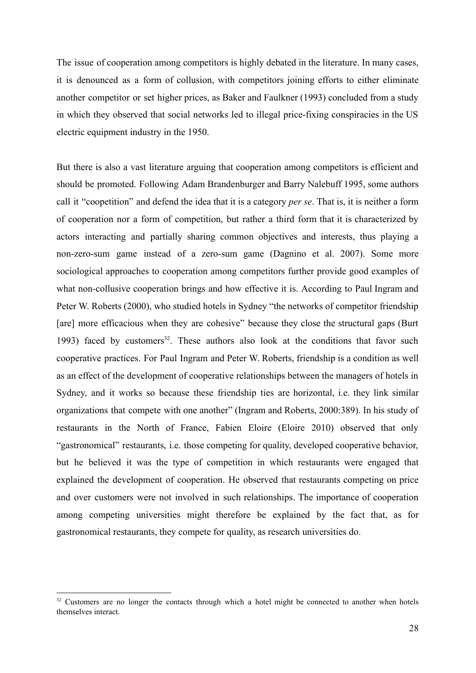The issue of cooperation among competitors is highly debated in the literature. In many cases, it is denounced as a form of collusion, with competitors joining efforts to either eliminate another competitor or set higher prices, as Baker and Faulkner (1993) concluded from a study in which they observed that social networks led to illegal price-fixing conspiracies in the US electric equipment industry in the 1950.

But there is also a vast literature arguing that cooperation among competitors is efficient and should be promoted. Following Adam Brandenburger and Barry Nalebuff 1995, some authors call it "coopetition" and defend the idea that it is a category *per se*. That is, it is neither a form of cooperation nor a form of competition, but rather a third form that it is characterized by actors interacting and partially sharing common objectives and interests, thus playing a non-zero-sum game instead of a zero-sum game (Dagnino et al. 2007). Some more sociological approaches to cooperation among competitors further provide good examples of what non-collusive cooperation brings and how effective it is. According to Paul Ingram and Peter W. Roberts (2000), who studied hotels in Sydney "the networks of competitor friendship [are] more efficacious when they are cohesive" because they close the structural gaps (Burt 1993) faced by customers<sup>32</sup>. These authors also look at the conditions that favor such cooperative practices. For Paul Ingram and Peter W. Roberts, friendship is a condition as well as an effect of the development of cooperative relationships between the managers of hotels in Sydney, and it works so because these friendship ties are horizontal, i.e. they link similar organizations that compete with one another" (Ingram and Roberts, 2000:389). In his study of restaurants in the North of France, Fabien Eloire (Eloire 2010) observed that only "gastronomical" restaurants, i.e. those competing for quality, developed cooperative behavior, but he believed it was the type of competition in which restaurants were engaged that explained the development of cooperation. He observed that restaurants competing on price and over customers were not involved in such relationships. The importance of cooperation among competing universities might therefore be explained by the fact that, as for gastronomical restaurants, they compete for quality, as research universities do.

<sup>&</sup>lt;sup>32</sup> Customers are no longer the contacts through which a hotel might be connected to another when hotels themselves interact.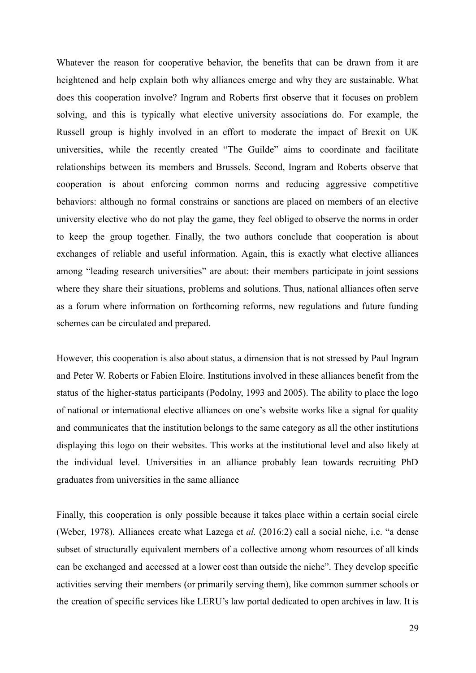Whatever the reason for cooperative behavior, the benefits that can be drawn from it are heightened and help explain both why alliances emerge and why they are sustainable. What does this cooperation involve? Ingram and Roberts first observe that it focuses on problem solving, and this is typically what elective university associations do. For example, the Russell group is highly involved in an effort to moderate the impact of Brexit on UK universities, while the recently created "The Guilde" aims to coordinate and facilitate relationships between its members and Brussels. Second, Ingram and Roberts observe that cooperation is about enforcing common norms and reducing aggressive competitive behaviors: although no formal constrains or sanctions are placed on members of an elective university elective who do not play the game, they feel obliged to observe the norms in order to keep the group together. Finally, the two authors conclude that cooperation is about exchanges of reliable and useful information. Again, this is exactly what elective alliances among "leading research universities" are about: their members participate in joint sessions where they share their situations, problems and solutions. Thus, national alliances often serve as a forum where information on forthcoming reforms, new regulations and future funding schemes can be circulated and prepared.

However, this cooperation is also about status, a dimension that is not stressed by Paul Ingram and Peter W. Roberts or Fabien Eloire. Institutions involved in these alliances benefit from the status of the higher-status participants (Podolny, 1993 and 2005). The ability to place the logo of national or international elective alliances on one's website works like a signal for quality and communicates that the institution belongs to the same category as all the other institutions displaying this logo on their websites. This works at the institutional level and also likely at the individual level. Universities in an alliance probably lean towards recruiting PhD graduates from universities in the same alliance

Finally, this cooperation is only possible because it takes place within a certain social circle (Weber, 1978). Alliances create what Lazega et *al.* (2016:2) call a social niche, i.e. "a dense subset of structurally equivalent members of a collective among whom resources of all kinds can be exchanged and accessed at a lower cost than outside the niche". They develop specific activities serving their members (or primarily serving them), like common summer schools or the creation of specific services like LERU's law portal dedicated to open archives in law. It is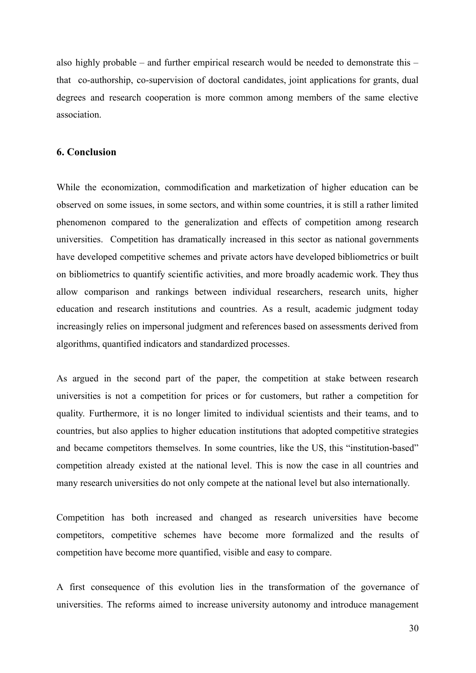also highly probable – and further empirical research would be needed to demonstrate this – that co-authorship, co-supervision of doctoral candidates, joint applications for grants, dual degrees and research cooperation is more common among members of the same elective association.

#### **6. Conclusion**

While the economization, commodification and marketization of higher education can be observed on some issues, in some sectors, and within some countries, it is still a rather limited phenomenon compared to the generalization and effects of competition among research universities. Competition has dramatically increased in this sector as national governments have developed competitive schemes and private actors have developed bibliometrics or built on bibliometrics to quantify scientific activities, and more broadly academic work. They thus allow comparison and rankings between individual researchers, research units, higher education and research institutions and countries. As a result, academic judgment today increasingly relies on impersonal judgment and references based on assessments derived from algorithms, quantified indicators and standardized processes.

As argued in the second part of the paper, the competition at stake between research universities is not a competition for prices or for customers, but rather a competition for quality. Furthermore, it is no longer limited to individual scientists and their teams, and to countries, but also applies to higher education institutions that adopted competitive strategies and became competitors themselves. In some countries, like the US, this "institution-based" competition already existed at the national level. This is now the case in all countries and many research universities do not only compete at the national level but also internationally.

Competition has both increased and changed as research universities have become competitors, competitive schemes have become more formalized and the results of competition have become more quantified, visible and easy to compare.

A first consequence of this evolution lies in the transformation of the governance of universities. The reforms aimed to increase university autonomy and introduce management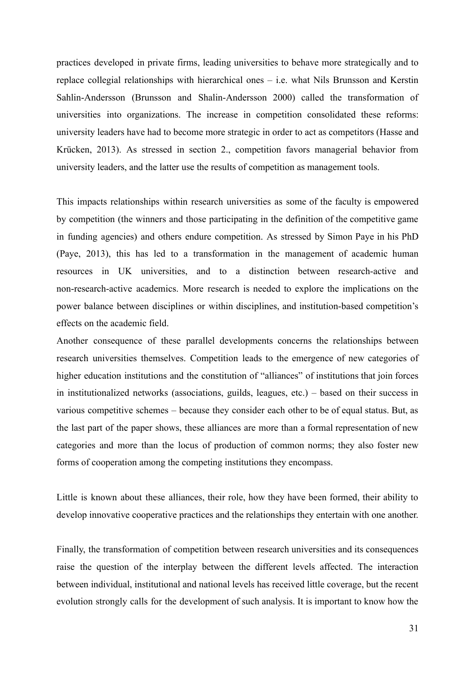practices developed in private firms, leading universities to behave more strategically and to replace collegial relationships with hierarchical ones – i.e. what Nils Brunsson and Kerstin Sahlin-Andersson (Brunsson and Shalin-Andersson 2000) called the transformation of universities into organizations. The increase in competition consolidated these reforms: university leaders have had to become more strategic in order to act as competitors (Hasse and Krücken, 2013). As stressed in section 2., competition favors managerial behavior from university leaders, and the latter use the results of competition as management tools.

This impacts relationships within research universities as some of the faculty is empowered by competition (the winners and those participating in the definition of the competitive game in funding agencies) and others endure competition. As stressed by Simon Paye in his PhD (Paye, 2013), this has led to a transformation in the management of academic human resources in UK universities, and to a distinction between research-active and non-research-active academics. More research is needed to explore the implications on the power balance between disciplines or within disciplines, and institution-based competition's effects on the academic field.

Another consequence of these parallel developments concerns the relationships between research universities themselves. Competition leads to the emergence of new categories of higher education institutions and the constitution of "alliances" of institutions that join forces in institutionalized networks (associations, guilds, leagues, etc.) – based on their success in various competitive schemes – because they consider each other to be of equal status. But, as the last part of the paper shows, these alliances are more than a formal representation of new categories and more than the locus of production of common norms; they also foster new forms of cooperation among the competing institutions they encompass.

Little is known about these alliances, their role, how they have been formed, their ability to develop innovative cooperative practices and the relationships they entertain with one another.

Finally, the transformation of competition between research universities and its consequences raise the question of the interplay between the different levels affected. The interaction between individual, institutional and national levels has received little coverage, but the recent evolution strongly calls for the development of such analysis. It is important to know how the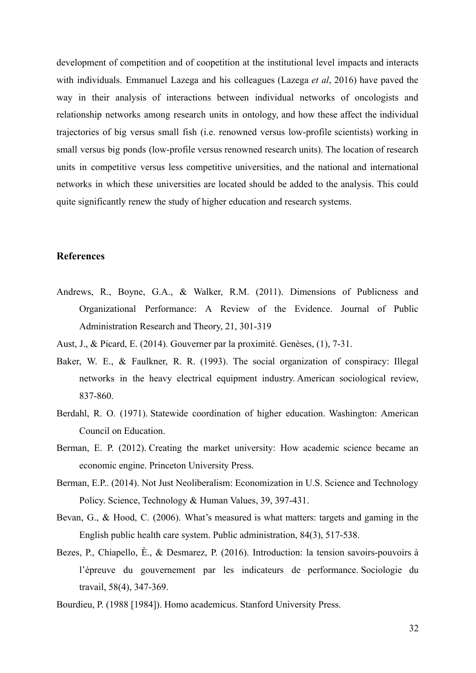development of competition and of coopetition at the institutional level impacts and interacts with individuals. Emmanuel Lazega and his colleagues (Lazega *et al*, 2016) have paved the way in their analysis of interactions between individual networks of oncologists and relationship networks among research units in ontology, and how these affect the individual trajectories of big versus small fish (i.e. renowned versus low-profile scientists) working in small versus big ponds (low-profile versus renowned research units). The location of research units in competitive versus less competitive universities, and the national and international networks in which these universities are located should be added to the analysis. This could quite significantly renew the study of higher education and research systems.

## **References**

- Andrews, R., Boyne, G.A., & Walker, R.M. (2011). Dimensions of Publicness and Organizational Performance: A Review of the Evidence. Journal of Public Administration Research and Theory, 21, 301-319
- Aust, J., & Picard, E. (2014). Gouverner par la proximité. Genèses, (1), 7-31.
- Baker, W. E., & Faulkner, R. R. (1993). The social organization of conspiracy: Illegal networks in the heavy electrical equipment industry. American sociological review, 837-860.
- Berdahl, R. O. (1971). Statewide coordination of higher education. Washington: American Council on Education.
- Berman, E. P. (2012). Creating the market university: How academic science became an economic engine. Princeton University Press.
- Berman, E.P.. (2014). Not Just Neoliberalism: Economization in U.S. Science and Technology Policy. Science, Technology & Human Values, 39, 397-431.
- Bevan, G., & Hood, C. (2006). What's measured is what matters: targets and gaming in the English public health care system. Public administration, 84(3), 517-538.
- Bezes, P., Chiapello, È., & Desmarez, P. (2016). Introduction: la tension savoirs-pouvoirs à l'épreuve du gouvernement par les indicateurs de performance. Sociologie du travail, 58(4), 347-369.
- Bourdieu, P. (1988 [1984]). Homo academicus. Stanford University Press.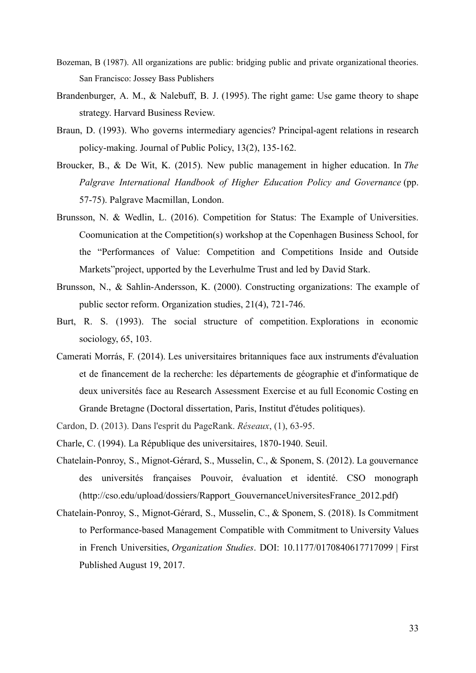- Bozeman, B (1987). All organizations are public: bridging public and private organizational theories. San Francisco: Jossey Bass Publishers
- Brandenburger, A. M., & Nalebuff, B. J. (1995). The right game: Use game theory to shape strategy. Harvard Business Review.
- Braun, D. (1993). Who governs intermediary agencies? Principal-agent relations in research policy-making. Journal of Public Policy, 13(2), 135-162.
- Broucker, B., & De Wit, K. (2015). New public management in higher education. In *The Palgrave International Handbook of Higher Education Policy and Governance* (pp. 57-75). Palgrave Macmillan, London.
- Brunsson, N. & Wedlin, L. (2016). Competition for Status: The Example of Universities. Coomunication at the Competition(s) workshop at the Copenhagen Business School, for the "Performances of Value: Competition and Competitions Inside and Outside Markets"project, upported by the Leverhulme Trust and led by David Stark.
- Brunsson, N., & Sahlin-Andersson, K. (2000). Constructing organizations: The example of public sector reform. Organization studies, 21(4), 721-746.
- Burt, R. S. (1993). The social structure of competition. Explorations in economic sociology, 65, 103.
- Camerati Morrás, F. (2014). Les universitaires britanniques face aux instruments d'évaluation et de financement de la recherche: les départements de géographie et d'informatique de deux universités face au Research Assessment Exercise et au full Economic Costing en Grande Bretagne (Doctoral dissertation, Paris, Institut d'études politiques).
- Cardon, D. (2013). Dans l'esprit du PageRank. *Réseaux*, (1), 63-95.
- Charle, C. (1994). La République des universitaires, 1870-1940. Seuil.
- Chatelain-Ponroy, S., Mignot-Gérard, S., Musselin, C., & Sponem, S. (2012). La gouvernance des universités françaises Pouvoir, évaluation et identité. CSO monograph (http://cso.edu/upload/dossiers/Rapport\_GouvernanceUniversitesFrance\_2012.pdf)
- Chatelain-Ponroy, S., Mignot-Gérard, S., Musselin, C., & Sponem, S. (2018). Is Commitment to Performance-based Management Compatible with Commitment to University Values in French Universities, *Organization Studies*. DOI: 10.1177/0170840617717099 | First Published August 19, 2017.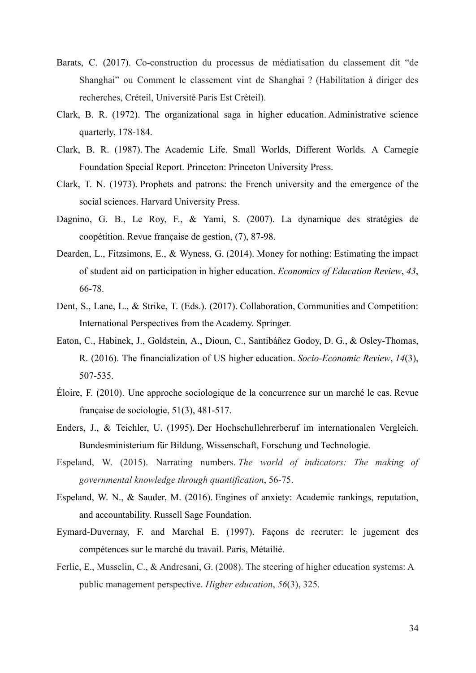- Barats, C. (2017). Co-construction du processus de médiatisation du classement dit "de Shanghai" ou Comment le classement vint de Shanghai ? (Habilitation à diriger des recherches, Créteil, Université Paris Est Créteil).
- Clark, B. R. (1972). The organizational saga in higher education. Administrative science quarterly, 178-184.
- Clark, B. R. (1987). The Academic Life. Small Worlds, Different Worlds. A Carnegie Foundation Special Report. Princeton: Princeton University Press.
- Clark, T. N. (1973). Prophets and patrons: the French university and the emergence of the social sciences. Harvard University Press.
- Dagnino, G. B., Le Roy, F., & Yami, S. (2007). La dynamique des stratégies de coopétition. Revue française de gestion, (7), 87-98.
- Dearden, L., Fitzsimons, E., & Wyness, G. (2014). Money for nothing: Estimating the impact of student aid on participation in higher education. *Economics of Education Review*, *43*, 66-78.
- Dent, S., Lane, L., & Strike, T. (Eds.). (2017). Collaboration, Communities and Competition: International Perspectives from the Academy. Springer.
- Eaton, C., Habinek, J., Goldstein, A., Dioun, C., Santibáñez Godoy, D. G., & Osley-Thomas, R. (2016). The financialization of US higher education. *Socio-Economic Review*, *14*(3), 507-535.
- Éloire, F. (2010). Une approche sociologique de la concurrence sur un marché le cas. Revue française de sociologie, 51(3), 481-517.
- Enders, J., & Teichler, U. (1995). Der Hochschullehrerberuf im internationalen Vergleich. Bundesministerium für Bildung, Wissenschaft, Forschung und Technologie.
- Espeland, W. (2015). Narrating numbers. *The world of indicators: The making of governmental knowledge through quantification*, 56-75.
- Espeland, W. N., & Sauder, M. (2016). Engines of anxiety: Academic rankings, reputation, and accountability. Russell Sage Foundation.
- Eymard-Duvernay, F. and Marchal E. (1997). Façons de recruter: le jugement des compétences sur le marché du travail. Paris, Métailié.
- Ferlie, E., Musselin, C., & Andresani, G. (2008). The steering of higher education systems: A public management perspective. *Higher education*, *56*(3), 325.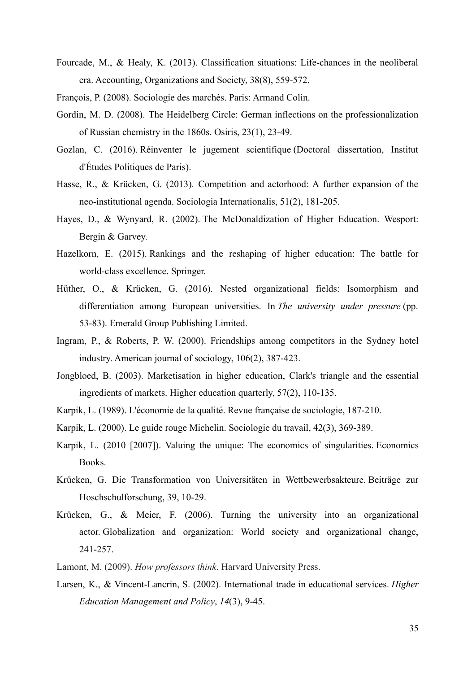Fourcade, M., & Healy, K. (2013). Classification situations: Life-chances in the neoliberal era. Accounting, Organizations and Society, 38(8), 559-572.

François, P. (2008). Sociologie des marchés. Paris: Armand Colin.

- Gordin, M. D. (2008). The Heidelberg Circle: German inflections on the professionalization of Russian chemistry in the 1860s. Osiris, 23(1), 23-49.
- Gozlan, C. (2016). Réinventer le jugement scientifique (Doctoral dissertation, Institut d'Études Politiques de Paris).
- Hasse, R., & Krücken, G. (2013). Competition and actorhood: A further expansion of the neo-institutional agenda. Sociologia Internationalis, 51(2), 181-205.
- Hayes, D., & Wynyard, R. (2002). The McDonaldization of Higher Education. Wesport: Bergin & Garvey.
- Hazelkorn, E. (2015). Rankings and the reshaping of higher education: The battle for world-class excellence. Springer.
- Hüther, O., & Krücken, G. (2016). Nested organizational fields: Isomorphism and differentiation among European universities. In *The university under pressure* (pp. 53-83). Emerald Group Publishing Limited.
- Ingram, P., & Roberts, P. W. (2000). Friendships among competitors in the Sydney hotel industry. American journal of sociology, 106(2), 387-423.
- Jongbloed, B. (2003). Marketisation in higher education, Clark's triangle and the essential ingredients of markets. Higher education quarterly, 57(2), 110-135.
- Karpik, L. (1989). L'économie de la qualité. Revue française de sociologie, 187-210.
- Karpik, L. (2000). Le guide rouge Michelin. Sociologie du travail, 42(3), 369-389.
- Karpik, L. (2010 [2007]). Valuing the unique: The economics of singularities. Economics Books.
- Krücken, G. Die Transformation von Universitäten in Wettbewerbsakteure. Beiträge zur Hoschschulforschung, 39, 10-29.
- Krücken, G., & Meier, F. (2006). Turning the university into an organizational actor. Globalization and organization: World society and organizational change, 241-257.
- Lamont, M. (2009). *How professors think*. Harvard University Press.
- Larsen, K., & Vincent-Lancrin, S. (2002). International trade in educational services. *Higher Education Management and Policy*, *14*(3), 9-45.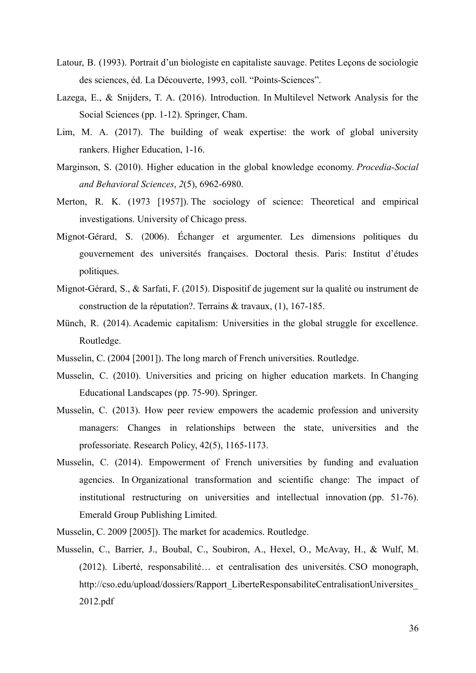- Latour, B. (1993). Portrait d'un biologiste en capitaliste sauvage. Petites Leçons de sociologie des sciences, éd. La Découverte, 1993, coll. "Points-Sciences".
- Lazega, E., & Snijders, T. A. (2016). Introduction. In Multilevel Network Analysis for the Social Sciences (pp. 1-12). Springer, Cham.
- Lim, M. A. (2017). The building of weak expertise: the work of global university rankers. Higher Education, 1-16.
- Marginson, S. (2010). Higher education in the global knowledge economy. *Procedia-Social and Behavioral Sciences*, *2*(5), 6962-6980.
- Merton, R. K. (1973 [1957]). The sociology of science: Theoretical and empirical investigations. University of Chicago press.
- Mignot-Gérard, S. (2006). Échanger et argumenter. Les dimensions politiques du gouvernement des universités françaises. Doctoral thesis. Paris: Institut d'études politiques.
- Mignot-Gérard, S., & Sarfati, F. (2015). Dispositif de jugement sur la qualité ou instrument de construction de la réputation?. Terrains & travaux, (1), 167-185.
- Münch, R. (2014). Academic capitalism: Universities in the global struggle for excellence. Routledge.
- Musselin, C. (2004 [2001]). The long march of French universities. Routledge.
- Musselin, C. (2010). Universities and pricing on higher education markets. In Changing Educational Landscapes (pp. 75-90). Springer.
- Musselin, C. (2013). How peer review empowers the academic profession and university managers: Changes in relationships between the state, universities and the professoriate. Research Policy, 42(5), 1165-1173.
- Musselin, C. (2014). Empowerment of French universities by funding and evaluation agencies. In Organizational transformation and scientific change: The impact of institutional restructuring on universities and intellectual innovation (pp. 51-76). Emerald Group Publishing Limited.
- Musselin, C. 2009 [2005]). The market for academics. Routledge.
- Musselin, C., Barrier, J., Boubal, C., Soubiron, A., Hexel, O., McAvay, H., & Wulf, M. (2012). Liberté, responsabilité… et centralisation des universités. CSO monograph, http://cso.edu/upload/dossiers/Rapport\_LiberteResponsabiliteCentralisationUniversites\_ 2012.pdf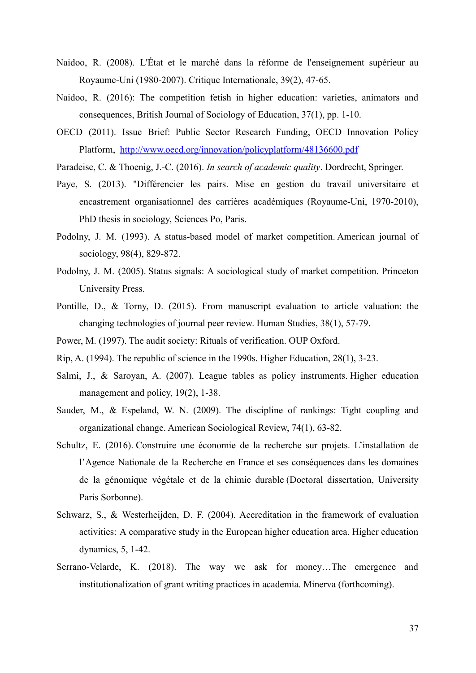- Naidoo, R. (2008). L'État et le marché dans la réforme de l'enseignement supérieur au Royaume-Uni (1980-2007). Critique Internationale, 39(2), 47-65.
- Naidoo, R. (2016): The competition fetish in higher education: varieties, animators and consequences, British Journal of Sociology of Education, 37(1), pp. 1-10.
- OECD (2011). Issue Brief: Public Sector Research Funding, OECD Innovation Policy Platform, <http://www.oecd.org/innovation/policyplatform/48136600.pdf>
- Paradeise, C. & Thoenig, J.-C. (2016). *In search of academic quality*. Dordrecht, Springer.
- Paye, S. (2013). "Différencier les pairs. Mise en gestion du travail universitaire et encastrement organisationnel des carrières académiques (Royaume-Uni, 1970-2010), PhD thesis in sociology, Sciences Po, Paris.
- Podolny, J. M. (1993). A status-based model of market competition. American journal of sociology, 98(4), 829-872.
- Podolny, J. M. (2005). Status signals: A sociological study of market competition. Princeton University Press.
- Pontille, D., & Torny, D. (2015). From manuscript evaluation to article valuation: the changing technologies of journal peer review. Human Studies, 38(1), 57-79.
- Power, M. (1997). The audit society: Rituals of verification. OUP Oxford.

Rip, A. (1994). The republic of science in the 1990s. Higher Education, 28(1), 3-23.

- Salmi, J., & Saroyan, A. (2007). League tables as policy instruments. Higher education management and policy, 19(2), 1-38.
- Sauder, M., & Espeland, W. N. (2009). The discipline of rankings: Tight coupling and organizational change. American Sociological Review, 74(1), 63-82.
- Schultz, E. (2016). Construire une économie de la recherche sur projets. L'installation de l'Agence Nationale de la Recherche en France et ses conséquences dans les domaines de la génomique végétale et de la chimie durable (Doctoral dissertation, University Paris Sorbonne).
- Schwarz, S., & Westerheijden, D. F. (2004). Accreditation in the framework of evaluation activities: A comparative study in the European higher education area. Higher education dynamics, 5, 1-42.
- Serrano-Velarde, K. (2018). The way we ask for money…The emergence and institutionalization of grant writing practices in academia. Minerva (forthcoming).